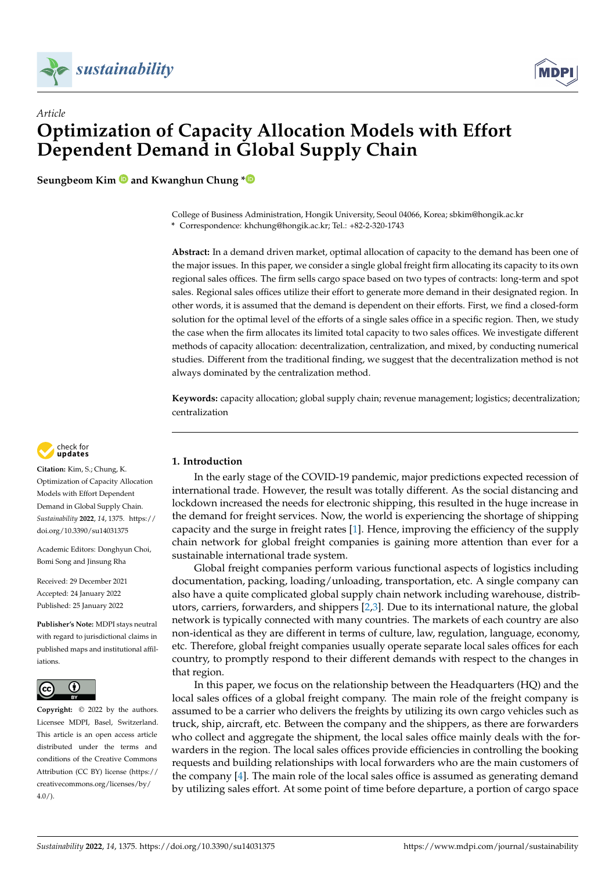

*Article*



# **Optimization of Capacity Allocation Models with Effort Dependent Demand in Global Supply Chain**

**Seungbeom Kim and Kwanghun Chung [\\*](https://orcid.org/0000-0003-4243-6091)**

College of Business Administration, Hongik University, Seoul 04066, Korea; sbkim@hongik.ac.kr

**\*** Correspondence: khchung@hongik.ac.kr; Tel.: +82-2-320-1743

**Abstract:** In a demand driven market, optimal allocation of capacity to the demand has been one of the major issues. In this paper, we consider a single global freight firm allocating its capacity to its own regional sales offices. The firm sells cargo space based on two types of contracts: long-term and spot sales. Regional sales offices utilize their effort to generate more demand in their designated region. In other words, it is assumed that the demand is dependent on their efforts. First, we find a closed-form solution for the optimal level of the efforts of a single sales office in a specific region. Then, we study the case when the firm allocates its limited total capacity to two sales offices. We investigate different methods of capacity allocation: decentralization, centralization, and mixed, by conducting numerical studies. Different from the traditional finding, we suggest that the decentralization method is not always dominated by the centralization method.

**Keywords:** capacity allocation; global supply chain; revenue management; logistics; decentralization; centralization



**Citation:** Kim, S.; Chung, K. Optimization of Capacity Allocation Models with Effort Dependent Demand in Global Supply Chain. *Sustainability* **2022**, *14*, 1375. [https://](https://doi.org/10.3390/su14031375) [doi.org/10.3390/su14031375](https://doi.org/10.3390/su14031375)

Academic Editors: Donghyun Choi, Bomi Song and Jinsung Rha

Received: 29 December 2021 Accepted: 24 January 2022 Published: 25 January 2022

**Publisher's Note:** MDPI stays neutral with regard to jurisdictional claims in published maps and institutional affiliations.



**Copyright:** © 2022 by the authors. Licensee MDPI, Basel, Switzerland. This article is an open access article distributed under the terms and conditions of the Creative Commons Attribution (CC BY) license [\(https://](https://creativecommons.org/licenses/by/4.0/) [creativecommons.org/licenses/by/](https://creativecommons.org/licenses/by/4.0/)  $4.0/$ ).

## <span id="page-0-0"></span>**1. Introduction**

In the early stage of the COVID-19 pandemic, major predictions expected recession of international trade. However, the result was totally different. As the social distancing and lockdown increased the needs for electronic shipping, this resulted in the huge increase in the demand for freight services. Now, the world is experiencing the shortage of shipping capacity and the surge in freight rates [\[1\]](#page-17-0). Hence, improving the efficiency of the supply chain network for global freight companies is gaining more attention than ever for a sustainable international trade system.

Global freight companies perform various functional aspects of logistics including documentation, packing, loading/unloading, transportation, etc. A single company can also have a quite complicated global supply chain network including warehouse, distributors, carriers, forwarders, and shippers [\[2,](#page-17-1)[3\]](#page-17-2). Due to its international nature, the global network is typically connected with many countries. The markets of each country are also non-identical as they are different in terms of culture, law, regulation, language, economy, etc. Therefore, global freight companies usually operate separate local sales offices for each country, to promptly respond to their different demands with respect to the changes in that region.

In this paper, we focus on the relationship between the Headquarters (HQ) and the local sales offices of a global freight company. The main role of the freight company is assumed to be a carrier who delivers the freights by utilizing its own cargo vehicles such as truck, ship, aircraft, etc. Between the company and the shippers, as there are forwarders who collect and aggregate the shipment, the local sales office mainly deals with the forwarders in the region. The local sales offices provide efficiencies in controlling the booking requests and building relationships with local forwarders who are the main customers of the company [\[4\]](#page-17-3). The main role of the local sales office is assumed as generating demand by utilizing sales effort. At some point of time before departure, a portion of cargo space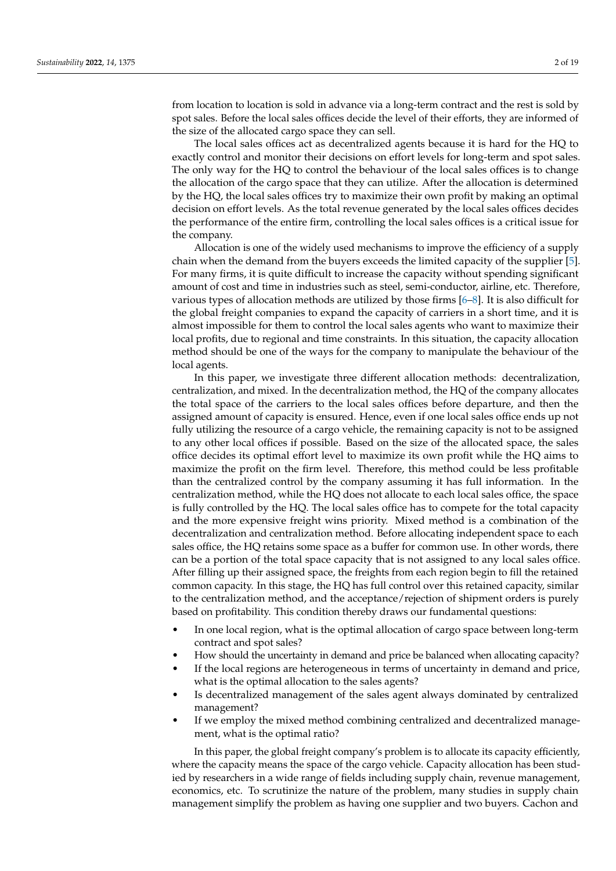from location to location is sold in advance via a long-term contract and the rest is sold by spot sales. Before the local sales offices decide the level of their efforts, they are informed of the size of the allocated cargo space they can sell.

The local sales offices act as decentralized agents because it is hard for the HQ to exactly control and monitor their decisions on effort levels for long-term and spot sales. The only way for the HQ to control the behaviour of the local sales offices is to change the allocation of the cargo space that they can utilize. After the allocation is determined by the HQ, the local sales offices try to maximize their own profit by making an optimal decision on effort levels. As the total revenue generated by the local sales offices decides the performance of the entire firm, controlling the local sales offices is a critical issue for the company.

Allocation is one of the widely used mechanisms to improve the efficiency of a supply chain when the demand from the buyers exceeds the limited capacity of the supplier [\[5\]](#page-17-4). For many firms, it is quite difficult to increase the capacity without spending significant amount of cost and time in industries such as steel, semi-conductor, airline, etc. Therefore, various types of allocation methods are utilized by those firms [\[6–](#page-17-5)[8\]](#page-17-6). It is also difficult for the global freight companies to expand the capacity of carriers in a short time, and it is almost impossible for them to control the local sales agents who want to maximize their local profits, due to regional and time constraints. In this situation, the capacity allocation method should be one of the ways for the company to manipulate the behaviour of the local agents.

In this paper, we investigate three different allocation methods: decentralization, centralization, and mixed. In the decentralization method, the HQ of the company allocates the total space of the carriers to the local sales offices before departure, and then the assigned amount of capacity is ensured. Hence, even if one local sales office ends up not fully utilizing the resource of a cargo vehicle, the remaining capacity is not to be assigned to any other local offices if possible. Based on the size of the allocated space, the sales office decides its optimal effort level to maximize its own profit while the HQ aims to maximize the profit on the firm level. Therefore, this method could be less profitable than the centralized control by the company assuming it has full information. In the centralization method, while the HQ does not allocate to each local sales office, the space is fully controlled by the HQ. The local sales office has to compete for the total capacity and the more expensive freight wins priority. Mixed method is a combination of the decentralization and centralization method. Before allocating independent space to each sales office, the HQ retains some space as a buffer for common use. In other words, there can be a portion of the total space capacity that is not assigned to any local sales office. After filling up their assigned space, the freights from each region begin to fill the retained common capacity. In this stage, the HQ has full control over this retained capacity, similar to the centralization method, and the acceptance/rejection of shipment orders is purely based on profitability. This condition thereby draws our fundamental questions:

- In one local region, what is the optimal allocation of cargo space between long-term contract and spot sales?
- How should the uncertainty in demand and price be balanced when allocating capacity?
- If the local regions are heterogeneous in terms of uncertainty in demand and price, what is the optimal allocation to the sales agents?
- Is decentralized management of the sales agent always dominated by centralized management?
- If we employ the mixed method combining centralized and decentralized management, what is the optimal ratio?

In this paper, the global freight company's problem is to allocate its capacity efficiently, where the capacity means the space of the cargo vehicle. Capacity allocation has been studied by researchers in a wide range of fields including supply chain, revenue management, economics, etc. To scrutinize the nature of the problem, many studies in supply chain management simplify the problem as having one supplier and two buyers. Cachon and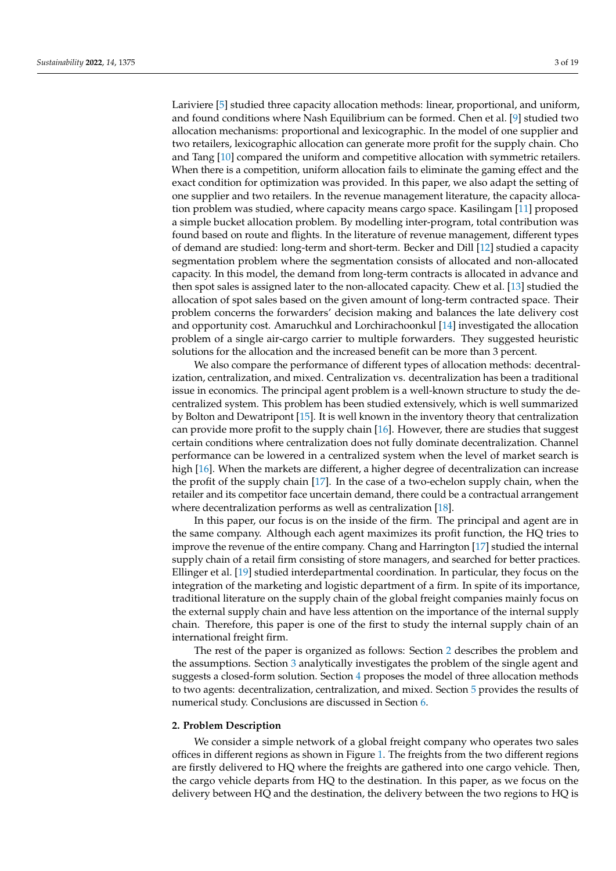Lariviere [\[5\]](#page-17-4) studied three capacity allocation methods: linear, proportional, and uniform, and found conditions where Nash Equilibrium can be formed. Chen et al. [\[9\]](#page-17-7) studied two allocation mechanisms: proportional and lexicographic. In the model of one supplier and two retailers, lexicographic allocation can generate more profit for the supply chain. Cho and Tang [\[10\]](#page-17-8) compared the uniform and competitive allocation with symmetric retailers. When there is a competition, uniform allocation fails to eliminate the gaming effect and the exact condition for optimization was provided. In this paper, we also adapt the setting of one supplier and two retailers. In the revenue management literature, the capacity allocation problem was studied, where capacity means cargo space. Kasilingam [\[11\]](#page-17-9) proposed a simple bucket allocation problem. By modelling inter-program, total contribution was found based on route and flights. In the literature of revenue management, different types of demand are studied: long-term and short-term. Becker and Dill [\[12\]](#page-17-10) studied a capacity segmentation problem where the segmentation consists of allocated and non-allocated capacity. In this model, the demand from long-term contracts is allocated in advance and then spot sales is assigned later to the non-allocated capacity. Chew et al. [\[13\]](#page-18-0) studied the allocation of spot sales based on the given amount of long-term contracted space. Their problem concerns the forwarders' decision making and balances the late delivery cost and opportunity cost. Amaruchkul and Lorchirachoonkul [\[14\]](#page-18-1) investigated the allocation problem of a single air-cargo carrier to multiple forwarders. They suggested heuristic solutions for the allocation and the increased benefit can be more than 3 percent.

We also compare the performance of different types of allocation methods: decentralization, centralization, and mixed. Centralization vs. decentralization has been a traditional issue in economics. The principal agent problem is a well-known structure to study the decentralized system. This problem has been studied extensively, which is well summarized by Bolton and Dewatripont [\[15\]](#page-18-2). It is well known in the inventory theory that centralization can provide more profit to the supply chain [\[16\]](#page-18-3). However, there are studies that suggest certain conditions where centralization does not fully dominate decentralization. Channel performance can be lowered in a centralized system when the level of market search is high [\[16\]](#page-18-3). When the markets are different, a higher degree of decentralization can increase the profit of the supply chain [\[17\]](#page-18-4). In the case of a two-echelon supply chain, when the retailer and its competitor face uncertain demand, there could be a contractual arrangement where decentralization performs as well as centralization [\[18\]](#page-18-5).

In this paper, our focus is on the inside of the firm. The principal and agent are in the same company. Although each agent maximizes its profit function, the HQ tries to improve the revenue of the entire company. Chang and Harrington [\[17\]](#page-18-4) studied the internal supply chain of a retail firm consisting of store managers, and searched for better practices. Ellinger et al. [\[19\]](#page-18-6) studied interdepartmental coordination. In particular, they focus on the integration of the marketing and logistic department of a firm. In spite of its importance, traditional literature on the supply chain of the global freight companies mainly focus on the external supply chain and have less attention on the importance of the internal supply chain. Therefore, this paper is one of the first to study the internal supply chain of an international freight firm.

The rest of the paper is organized as follows: Section [2](#page-2-0) describes the problem and the assumptions. Section [3](#page-4-0) analytically investigates the problem of the single agent and suggests a closed-form solution. Section [4](#page-9-0) proposes the model of three allocation methods to two agents: decentralization, centralization, and mixed. Section [5](#page-13-0) provides the results of numerical study. Conclusions are discussed in Section [6.](#page-16-0)

#### <span id="page-2-0"></span>**2. Problem Description**

We consider a simple network of a global freight company who operates two sales offices in different regions as shown in Figure [1.](#page-3-0) The freights from the two different regions are firstly delivered to HQ where the freights are gathered into one cargo vehicle. Then, the cargo vehicle departs from HQ to the destination. In this paper, as we focus on the delivery between HQ and the destination, the delivery between the two regions to HQ is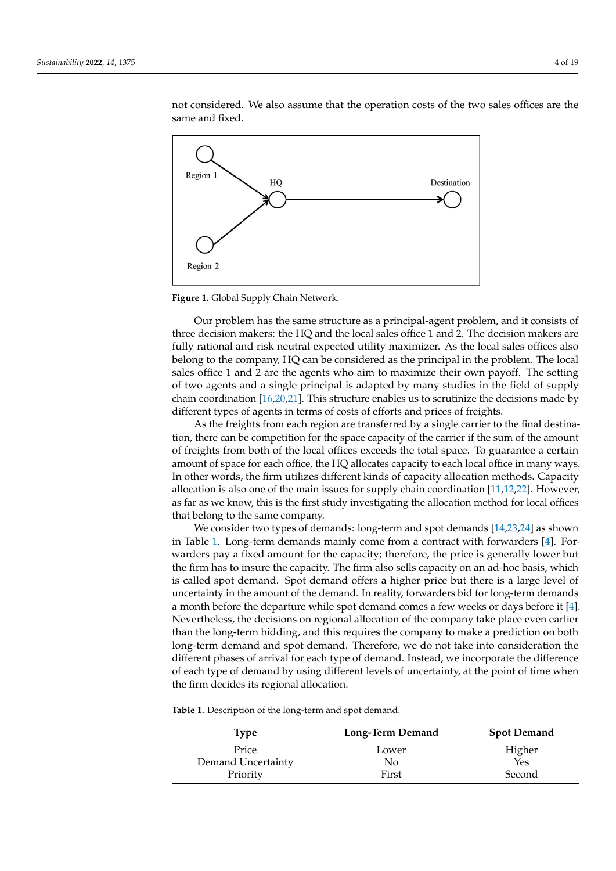<span id="page-3-0"></span>

not considered. We also assume that the operation costs of the two sales offices are the same and fixed.

**Figure 1.** Global Supply Chain Network.

Our problem has the same structure as a principal-agent problem, and it consists of three decision makers: the HQ and the local sales office 1 and 2. The decision makers are fully rational and risk neutral expected utility maximizer. As the local sales offices also belong to the company, HQ can be considered as the principal in the problem. The local sales office 1 and 2 are the agents who aim to maximize their own payoff. The setting of two agents and a single principal is adapted by many studies in the field of supply chain coordination [\[16](#page-18-3)[,20](#page-18-7)[,21\]](#page-18-8). This structure enables us to scrutinize the decisions made by different types of agents in terms of costs of efforts and prices of freights.

As the freights from each region are transferred by a single carrier to the final destination, there can be competition for the space capacity of the carrier if the sum of the amount of freights from both of the local offices exceeds the total space. To guarantee a certain amount of space for each office, the HQ allocates capacity to each local office in many ways. In other words, the firm utilizes different kinds of capacity allocation methods. Capacity allocation is also one of the main issues for supply chain coordination [\[11,](#page-17-9)[12](#page-17-10)[,22\]](#page-18-9). However, as far as we know, this is the first study investigating the allocation method for local offices that belong to the same company.

We consider two types of demands: long-term and spot demands [\[14](#page-18-1)[,23,](#page-18-10)[24\]](#page-18-11) as shown in Table [1.](#page-3-1) Long-term demands mainly come from a contract with forwarders [\[4\]](#page-17-3). Forwarders pay a fixed amount for the capacity; therefore, the price is generally lower but the firm has to insure the capacity. The firm also sells capacity on an ad-hoc basis, which is called spot demand. Spot demand offers a higher price but there is a large level of uncertainty in the amount of the demand. In reality, forwarders bid for long-term demands a month before the departure while spot demand comes a few weeks or days before it [\[4\]](#page-17-3). Nevertheless, the decisions on regional allocation of the company take place even earlier than the long-term bidding, and this requires the company to make a prediction on both long-term demand and spot demand. Therefore, we do not take into consideration the different phases of arrival for each type of demand. Instead, we incorporate the difference of each type of demand by using different levels of uncertainty, at the point of time when the firm decides its regional allocation.

<span id="page-3-1"></span>**Table 1.** Description of the long-term and spot demand.

| <b>Type</b>        | <b>Long-Term Demand</b> | <b>Spot Demand</b> |  |  |
|--------------------|-------------------------|--------------------|--|--|
| Price              | Lower                   | Higher             |  |  |
| Demand Uncertainty | No                      | Yes                |  |  |
| Priority           | First                   | Second             |  |  |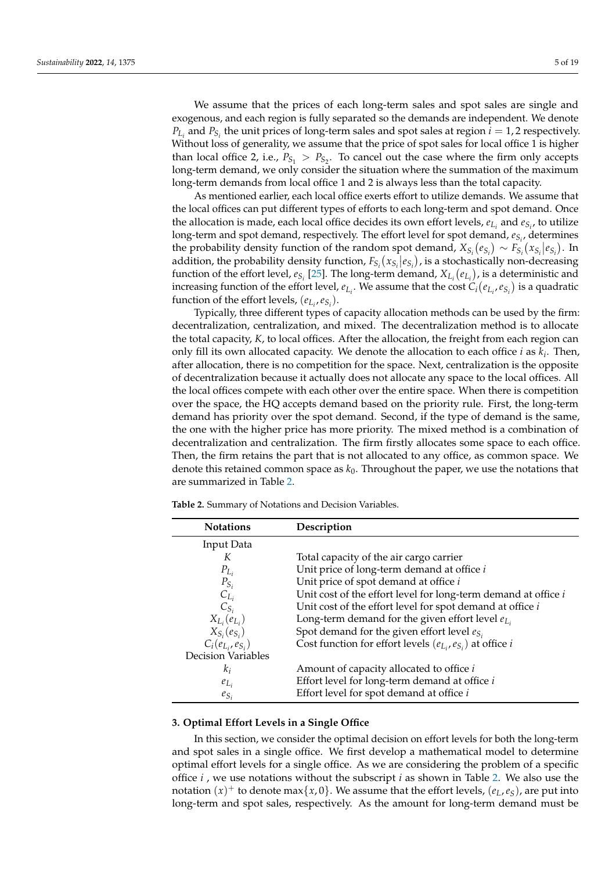We assume that the prices of each long-term sales and spot sales are single and exogenous, and each region is fully separated so the demands are independent. We denote  $P_{L_i}$  and  $P_{S_i}$  the unit prices of long-term sales and spot sales at region  $i = 1, 2$  respectively. Without loss of generality, we assume that the price of spot sales for local office 1 is higher than local office 2, i.e.,  $P_{S_1} > P_{S_2}$ . To cancel out the case where the firm only accepts long-term demand, we only consider the situation where the summation of the maximum long-term demands from local office 1 and 2 is always less than the total capacity.

As mentioned earlier, each local office exerts effort to utilize demands. We assume that the local offices can put different types of efforts to each long-term and spot demand. Once the allocation is made, each local office decides its own effort levels,  $e_{L_i}$  and  $e_{S_i}$ , to utilize long-term and spot demand, respectively. The effort level for spot demand, *eS<sup>i</sup>* , determines the probability density function of the random spot demand,  $X_{S_i}(e_{S_i}) \sim F_{S_i}(x_{S_i}|e_{S_i})$ . In addition, the probability density function,  $F_{S_i}(x_{S_i}|e_{S_i})$ , is a stochastically non-decreasing function of the effort level,  $e_{S_i}$  [\[25\]](#page-18-12). The long-term demand,  $X_{L_i}(e_{L_i})$ , is a deterministic and increasing function of the effort level,  $e_{L_i}$ . We assume that the cost  $C_i(e_{L_i}, e_{S_i})$  is a quadratic function of the effort levels,  $(e_{L_i}, e_{S_i})$ .

Typically, three different types of capacity allocation methods can be used by the firm: decentralization, centralization, and mixed. The decentralization method is to allocate the total capacity, *K*, to local offices. After the allocation, the freight from each region can only fill its own allocated capacity. We denote the allocation to each office *i* as *k<sup>i</sup>* . Then, after allocation, there is no competition for the space. Next, centralization is the opposite of decentralization because it actually does not allocate any space to the local offices. All the local offices compete with each other over the entire space. When there is competition over the space, the HQ accepts demand based on the priority rule. First, the long-term demand has priority over the spot demand. Second, if the type of demand is the same, the one with the higher price has more priority. The mixed method is a combination of decentralization and centralization. The firm firstly allocates some space to each office. Then, the firm retains the part that is not allocated to any office, as common space. We denote this retained common space as *k*0. Throughout the paper, we use the notations that are summarized in Table [2.](#page-4-1)

| <b>Notations</b>          | Description                                                             |
|---------------------------|-------------------------------------------------------------------------|
| Input Data                |                                                                         |
| К                         | Total capacity of the air cargo carrier                                 |
| $P_{L_i}$                 | Unit price of long-term demand at office i                              |
| $P_{S_i}$                 | Unit price of spot demand at office i                                   |
| $C_{L_i}$                 | Unit cost of the effort level for long-term demand at office $i$        |
| $C_{S_i}$                 | Unit cost of the effort level for spot demand at office i               |
| $X_{L_i}(e_{L_i})$        | Long-term demand for the given effort level $e_{L_i}$                   |
| $X_{S_i}(e_{S_i})$        | Spot demand for the given effort level $e_{S_i}$                        |
| $C_i(e_{L_i}, e_{S_i})$   | Cost function for effort levels $(e_{L_i}, e_{S_i})$ at office <i>i</i> |
| <b>Decision Variables</b> |                                                                         |
| $k_i$                     | Amount of capacity allocated to office <i>i</i>                         |
| $e_{L_i}$                 | Effort level for long-term demand at office i                           |
| $e_{S_i}$                 | Effort level for spot demand at office i                                |

<span id="page-4-1"></span>**Table 2.** Summary of Notations and Decision Variables.

#### <span id="page-4-0"></span>**3. Optimal Effort Levels in a Single Office**

In this section, we consider the optimal decision on effort levels for both the long-term and spot sales in a single office. We first develop a mathematical model to determine optimal effort levels for a single office. As we are considering the problem of a specific office *i* , we use notations without the subscript *i* as shown in Table [2.](#page-4-1) We also use the notation  $(x)^{+}$  to denote max $\{x, 0\}$ . We assume that the effort levels,  $(e_L, e_S)$ , are put into long-term and spot sales, respectively. As the amount for long-term demand must be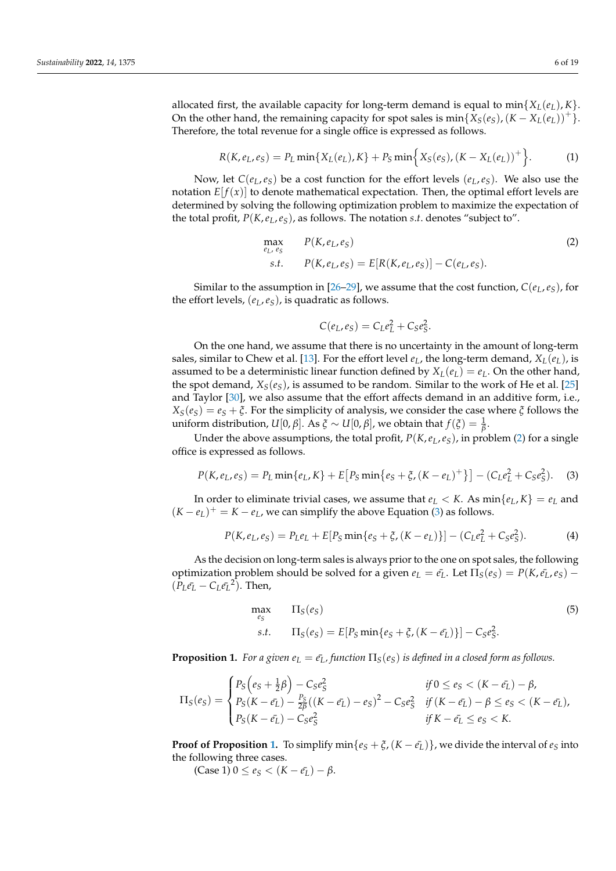allocated first, the available capacity for long-term demand is equal to  $\min\{X_L(e_L), K\}$ . On the other hand, the remaining capacity for spot sales is  $min\{X_S(e_S), (K - X_L(e_L))^+\}$ . Therefore, the total revenue for a single office is expressed as follows.

<span id="page-5-4"></span>
$$
R(K, e_L, e_S) = P_L \min\{X_L(e_L), K\} + P_S \min\{X_S(e_S), (K - X_L(e_L))^+\}.
$$
 (1)

Now, let  $C(e_L, e_S)$  be a cost function for the effort levels  $(e_L, e_S)$ . We also use the notation  $E[f(x)]$  to denote mathematical expectation. Then, the optimal effort levels are determined by solving the following optimization problem to maximize the expectation of the total profit, *P*(*K*,*eL*,*eS*), as follows. The notation *s*.*t*. denotes "subject to".

<span id="page-5-0"></span>
$$
\max_{e_L, e_S} P(K, e_L, e_S) \ns.t. \quad P(K, e_L, e_S) = E[R(K, e_L, e_S)] - C(e_L, e_S).
$$
\n(2)

Similar to the assumption in [\[26–](#page-18-13)[29\]](#page-18-14), we assume that the cost function,  $C(e_L, e_S)$ , for the effort levels, (*eL*,*eS*), is quadratic as follows.

$$
C(e_L, e_S) = C_L e_L^2 + C_S e_S^2.
$$

On the one hand, we assume that there is no uncertainty in the amount of long-term sales, similar to Chew et al. [\[13\]](#page-18-0). For the effort level  $e_L$ , the long-term demand,  $X_L(e_L)$ , is assumed to be a deterministic linear function defined by  $X_L(e_L) = e_L$ . On the other hand, the spot demand,  $X_S(e_S)$ , is assumed to be random. Similar to the work of He et al. [\[25\]](#page-18-12) and Taylor [\[30\]](#page-18-15), we also assume that the effort affects demand in an additive form, i.e.,  $X_S(e_S) = e_S + \xi$ . For the simplicity of analysis, we consider the case where  $\xi$  follows the  $u$ niform distribution, *U*[0, *β*]. As *ξ* ∼ *U*[0, *β*], we obtain that  $f(ξ) = \frac{1}{β}$ .

Under the above assumptions, the total profit, *P*(*K*,*eL*,*eS*), in problem [\(2\)](#page-5-0) for a single office is expressed as follows.

<span id="page-5-1"></span>
$$
P(K, e_L, e_S) = P_L \min\{e_L, K\} + E[P_S \min\{e_S + \xi, (K - e_L)^+\}] - (C_L e_L^2 + C_S e_S^2). \tag{3}
$$

In order to eliminate trivial cases, we assume that  $e_L < K$ . As  $\min\{e_L, K\} = e_L$  and  $(K - e_L)^+ = K - e_L$ , we can simplify the above Equation [\(3\)](#page-5-1) as follows.

$$
P(K, e_L, e_S) = P_L e_L + E[P_S \min\{e_S + \xi, (K - e_L)\}] - (C_L e_L^2 + C_S e_S^2). \tag{4}
$$

As the decision on long-term sales is always prior to the one on spot sales, the following optimization problem should be solved for a given  $e<sub>L</sub> = e<sub>L</sub>$ . Let  $\Pi<sub>S</sub>(e<sub>S</sub>) = P(K, e<sub>L</sub>, e<sub>S</sub>)$  –  $(P_L \bar{e_L} - C_L \bar{e_L}^2)$ . Then,

<span id="page-5-3"></span>
$$
\max_{e_S} \qquad \Pi_S(e_S) \tag{5}
$$
\n
$$
s.t. \qquad \Pi_S(e_S) = E[P_S \min\{e_S + \xi, (K - \bar{e_L})\}] - C_S e_S^2.
$$

<span id="page-5-2"></span>**Proposition 1.** *For a given*  $e_L = \bar{e_L}$ *, function*  $\Pi_S(e_S)$  *is defined in a closed form as follows.* 

$$
\Pi_S(e_S) = \begin{cases} P_S(e_S + \frac{1}{2}\beta) - C_S e_S^2 & \text{if } 0 \le e_S < (K - \bar{e_L}) - \beta, \\ P_S(K - \bar{e_L}) - \frac{P_S}{2\beta}((K - \bar{e_L}) - e_S)^2 - C_S e_S^2 & \text{if } (K - \bar{e_L}) - \beta \le e_S < (K - \bar{e_L}), \\ P_S(K - \bar{e_L}) - C_S e_S^2 & \text{if } K - \bar{e_L} \le e_S < K. \end{cases}
$$

**Proof of Proposition** [1.](#page-5-2) To simplify  $\min\{e_S + \zeta, (K - e_I)\}\)$ , we divide the interval of  $e_S$  into the following three cases.

 $(Case 1) 0 ≤ e<sub>S</sub> < (K – e<sub>L</sub>) – β.$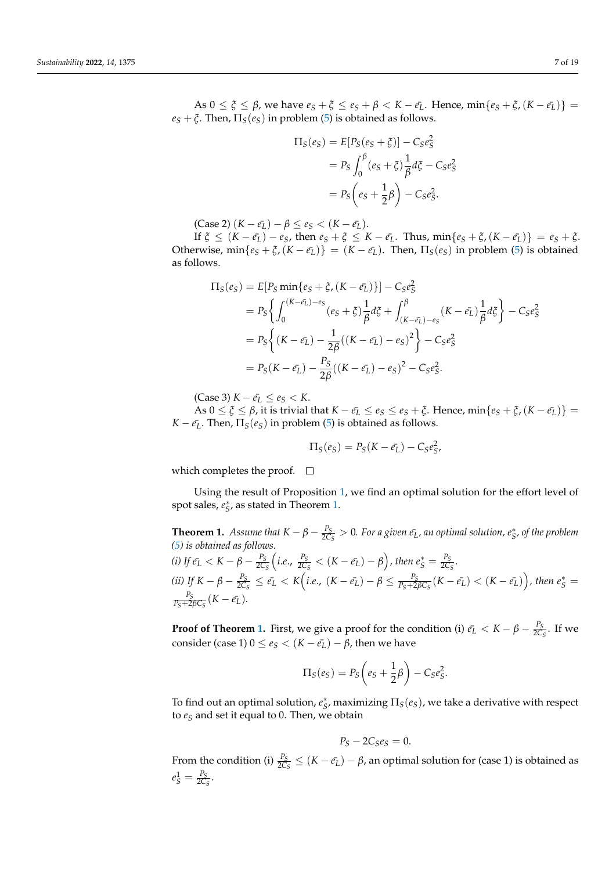As  $0 \le \xi \le \beta$ , we have  $e_S + \xi \le e_S + \beta < K - \bar{e_L}$ . Hence,  $\min\{e_S + \xi, (K - \bar{e_L})\}$  $e_S + \xi$ . Then,  $\Pi_S(e_S)$  in problem [\(5\)](#page-5-3) is obtained as follows.

$$
\Pi_S(e_S) = E[P_S(e_S + \xi)] - C_S e_S^2
$$
  
=  $P_S \int_0^{\beta} (e_S + \xi) \frac{1}{\beta} d\xi - C_S e_S^2$   
=  $P_S \left( e_S + \frac{1}{2} \beta \right) - C_S e_S^2$ .

 $(Case 2) (K - \bar{e}_L) - \beta \le e_S < (K - \bar{e}_L).$ 

If  $\xi \le (K - \bar{e_L}) - e_S$ , then  $e_S + \xi \le K - \bar{e_L}$ . Thus,  $\min\{e_S + \xi, (K - \bar{e_L})\} = e_S + \xi$ . Otherwise,  $\min\{e_S + \xi$ ,  $(K - \bar{e}_L)\} = (K - \bar{e}_L)$ . Then,  $\Pi_S(e_S)$  in problem [\(5\)](#page-5-3) is obtained as follows.

$$
\Pi_{S}(e_{S}) = E[P_{S} \min\{e_{S} + \xi, (K - \bar{e_{L}})\}] - C_{S}e_{S}^{2}
$$
\n
$$
= P_{S} \left\{ \int_{0}^{(K - \bar{e_{L}}) - e_{S}} (e_{S} + \xi) \frac{1}{\beta} d\xi + \int_{(K - \bar{e_{L}}) - e_{S}}^{\beta} (K - \bar{e_{L}}) \frac{1}{\beta} d\xi \right\} - C_{S}e_{S}^{2}
$$
\n
$$
= P_{S} \left\{ (K - \bar{e_{L}}) - \frac{1}{2\beta} ((K - \bar{e_{L}}) - e_{S})^{2} \right\} - C_{S}e_{S}^{2}
$$
\n
$$
= P_{S} (K - \bar{e_{L}}) - \frac{P_{S}}{2\beta} ((K - \bar{e_{L}}) - e_{S})^{2} - C_{S}e_{S}^{2}.
$$

(Case 3) *K* −  $e_L$  ≤  $e_S$  < *K*.

 $\{As\ 0 \leq \xi \leq \beta\}$ , it is trivial that  $K - \bar{e_L} \leq e_S \leq e_S + \xi$ . Hence,  $\min\{e_S + \xi, (K - \bar{e_L})\}$ *K* −  $\bar{e_L}$ . Then,  $\Pi_S(e_S)$  in problem [\(5\)](#page-5-3) is obtained as follows.

$$
\Pi_S(e_S) = P_S(K - \bar{e_L}) - C_S e_S^2,
$$

which completes the proof.  $\square$ 

Using the result of Proposition [1,](#page-5-2) we find an optimal solution for the effort level of spot sales,  $e^*_S$ , as stated in Theorem [1.](#page-6-0)

<span id="page-6-0"></span>**Theorem 1.** *Assume that*  $K - \beta - \frac{P_S}{2C}$  $\frac{P_S}{2C_S}>0$ . For a given  $\bar{e_L}$ , an optimal solution,  $e^*_{S'}$ , of the problem *[\(5\)](#page-5-3) is obtained as follows. (i)* If  $\bar{e}_L < K - \beta - \frac{P_S}{2C}$ 2*C<sup>S</sup>*  $\left(i.e., \frac{P_S}{2C}\right)$  $\frac{P_S}{2C_S} < (K - \bar{e_L}) - \beta$ ), then  $e_S^* = \frac{P_S}{2C_S}$  $rac{r_S}{2C_S}$ . *(ii)* If  $K - \beta - \frac{P_S}{2C}$  $\frac{P_S}{2C_S} \leq \bar{e_L} < K\Big(i.e., (K - \bar{e_L}) - \beta \leq \frac{P_S}{P_S + 2\beta C_S}(K - \bar{e_L}) < (K - \bar{e_L})\Big)$ , then  $e_S^* =$ 

$$
\frac{P_S}{P_S+2\beta C_S}(K-\bar{e_L}).
$$

**Proof of Theorem [1.](#page-6-0)** First, we give a proof for the condition (i)  $\bar{e}_L < K - \beta - \frac{P_S}{2C}$  $rac{r_S}{2C_S}$ . If we consider (case 1)  $0 \le e_S < (K - \bar{e_L}) - \beta$ , then we have

$$
\Pi_S(e_S) = P_S\left(e_S + \frac{1}{2}\beta\right) - C_S e_S^2.
$$

To find out an optimal solution,  $e^*_S$ , maximizing  $\Pi_S(e_S)$ , we take a derivative with respect to *e<sup>S</sup>* and set it equal to 0. Then, we obtain

$$
P_S-2C_S e_S=0.
$$

From the condition (i)  $\frac{P_S}{2C_S} \leq (K - \bar{e}_L) - \beta$ , an optimal solution for (case 1) is obtained as  $e_S^1 = \frac{P_S}{2C}$  $rac{r_S}{2C_S}$ .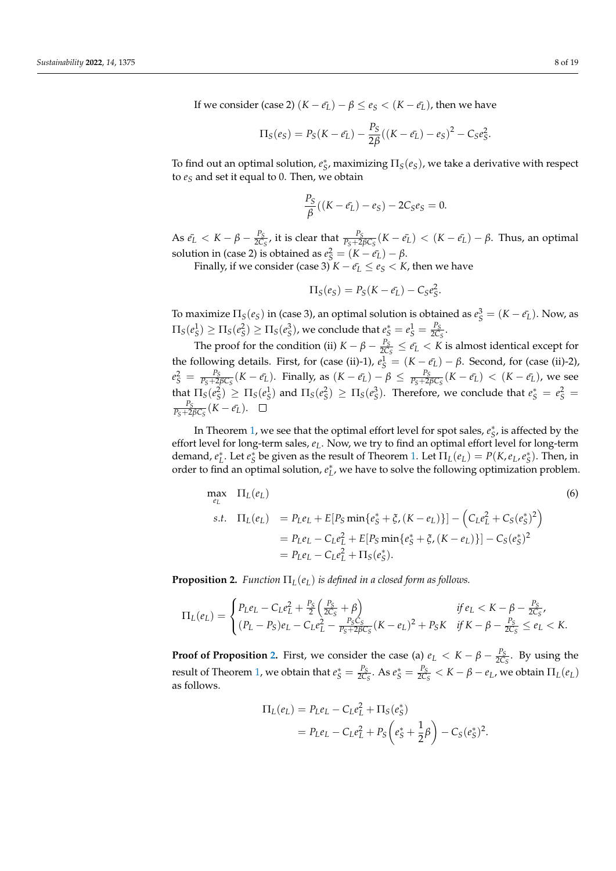If we consider (case 2)  $(K - \bar{e}_L) - \beta \leq e_S < (K - \bar{e}_L)$ , then we have

$$
\Pi_S(e_S) = P_S(K - e_L) - \frac{P_S}{2\beta}((K - e_L) - e_S)^2 - C_S e_S^2.
$$

To find out an optimal solution,  $e^*_S$ , maximizing  $\Pi_S(e_S)$ , we take a derivative with respect to *e<sup>S</sup>* and set it equal to 0. Then, we obtain

$$
\frac{P_S}{\beta}((K-\bar{e_L})-e_S)-2C_S e_S=0.
$$

As  $\bar{e_L} < K - \beta - \frac{P_S}{2C}$  $\frac{P_S}{2C_S}$ , it is clear that  $\frac{P_S}{P_S+2\beta C_S}(K-\bar{e_L}) < (K-\bar{e_L})-\beta$ . Thus, an optimal solution in (case 2) is obtained as  $e_S^2 = (K - \bar{e_L}) - \beta$ .

Finally, if we consider (case 3)  $K - e_L \le e_S < K$ , then we have

$$
\Pi_S(e_S) = P_S(K - \bar{e_L}) - C_S e_S^2.
$$

To maximize  $\Pi_S(e_S)$  in (case 3), an optimal solution is obtained as  $e_S^3 = (K - \bar{e_L})$ . Now, as  $\Pi_S(e_S^1) \ge \Pi_S(e_S^2) \ge \Pi_S(e_S^3)$ , we conclude that  $e_S^* = e_S^1 = \frac{P_S}{2C}$  $rac{1S}{2C_S}$ .

The proof for the condition (ii)  $K - \beta - \frac{P_S}{2C}$  $\frac{P_S}{2C_S} \leq \bar{e}_L < K$  is almost identical except for the following details. First, for (case (ii)-1),  $e_S^1 = (K - \bar{e_L}) - \beta$ . Second, for (case (ii)-2),  $e_S^2 = \frac{P_S}{P_S + 2\beta C_S}(K - \bar{e_L})$ . Finally, as  $(K - \bar{e_L}) - \beta \le \frac{P_S}{P_S + 2\beta C_S}(K - \bar{e_L}) < (K - \bar{e_L})$ , we see that  $\Pi_S(e_S^2) \geq \Pi_S(e_S^1)$  and  $\Pi_S(e_S^2) \geq \Pi_S(e_S^3)$ . Therefore, we conclude that  $e_S^* = e_S^2 =$  $\frac{P_S}{P_S + 2\beta C_S}(K - \bar{e_L}).$ 

In Theorem [1,](#page-6-0) we see that the optimal effort level for spot sales,  $e^*_{S}$ , is affected by the effort level for long-term sales, *eL*. Now, we try to find an optimal effort level for long-term demand,  $e_L^*$ . Let  $e_S^*$  be given as the result of Theorem [1.](#page-6-0) Let  $\Pi_L(e_L) = P(K, e_L, e_S^*)$ . Then, in order to find an optimal solution,  $e_L^*$ , we have to solve the following optimization problem.

<span id="page-7-1"></span>
$$
\max_{e_L} \Pi_L(e_L) \tag{6}
$$
\n
$$
\text{s.t.} \Pi_L(e_L) = P_L e_L + E[P_S \min\{e_S^* + \xi, (K - e_L)\}] - \left(C_L e_L^2 + C_S (e_S^*)^2\right)
$$
\n
$$
= P_L e_L - C_L e_L^2 + E[P_S \min\{e_S^* + \xi, (K - e_L)\}] - C_S (e_S^*)^2
$$
\n
$$
= P_L e_L - C_L e_L^2 + \Pi_S (e_S^*).
$$

<span id="page-7-0"></span>**Proposition 2.** *Function*  $\Pi_L(e_L)$  *is defined in a closed form as follows.* 

$$
\Pi_L(e_L) = \begin{cases} P_L e_L - C_L e_L^2 + \frac{P_S}{2} \left( \frac{P_S}{2C_S} + \beta \right) & \text{if } e_L < K - \beta - \frac{P_S}{2C_S}, \\ (P_L - P_S)e_L - C_L e_L^2 - \frac{P_S C_S}{P_S + 2\beta C_S} (K - e_L)^2 + P_S K & \text{if } K - \beta - \frac{P_S}{2C_S} \le e_L < K. \end{cases}
$$

**Proof of Proposition [2.](#page-7-0)** First, we consider the case (a)  $e_L < K - \beta - \frac{P_S}{2C}$  $\frac{r_S}{2C_S}$ . By using the result of Theorem [1,](#page-6-0) we obtain that  $e^*_S = \frac{P_S}{2C}$  $\frac{P_S}{2C_S}$ . As  $e_S^* = \frac{P_S}{2C_S}$  $\frac{P_S}{2C_S}$  < *K* – *β* – *e*<sub>*L*</sub>, we obtain  $\Pi_L(e_L)$ as follows.

$$
\Pi_L(e_L) = P_L e_L - C_L e_L^2 + \Pi_S(e_S^*)
$$
  
=  $P_L e_L - C_L e_L^2 + P_S (e_S^* + \frac{1}{2}\beta) - C_S (e_S^*)^2$ .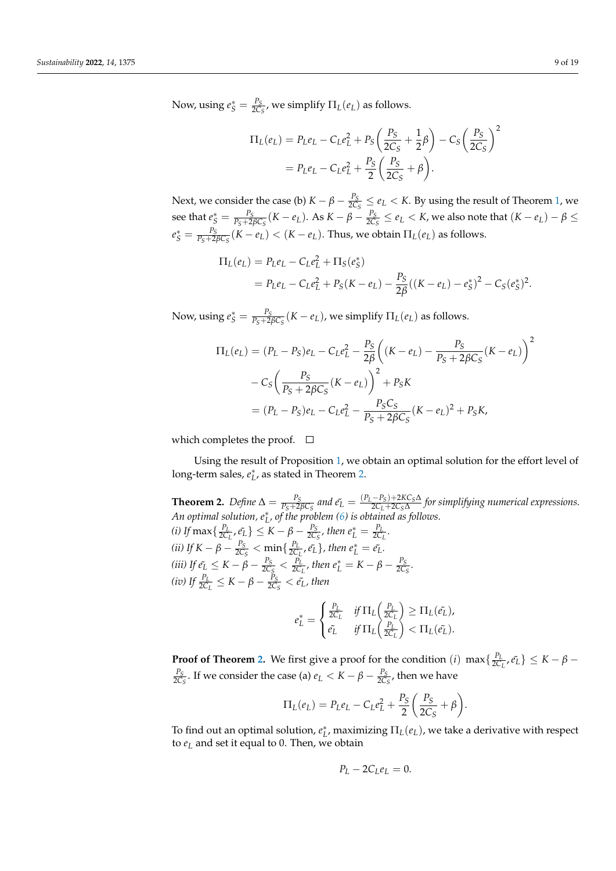Now, using  $e^*_S = \frac{P_S}{2C_S}$  $\frac{P_S}{2C_S}$ , we simplify  $\Pi_L(e_L)$  as follows.

$$
\Pi_L(e_L) = P_L e_L - C_L e_L^2 + P_S \left(\frac{P_S}{2C_S} + \frac{1}{2}\beta\right) - C_S \left(\frac{P_S}{2C_S}\right)^2
$$
  
=  $P_L e_L - C_L e_L^2 + \frac{P_S}{2} \left(\frac{P_S}{2C_S} + \beta\right).$ 

Next, we consider the case (b)  $K - \beta - \frac{P_S}{2C}$  $\frac{P_S}{2C_S} \leq e_L < K$ . By using the result of Theorem [1,](#page-6-0) we  $\sec$  that  $e^*_S = \frac{P_S}{P_S + 2\beta C_S} (K - e_L)$ . As  $K - \beta - \frac{P_S}{2C_S}$  $\frac{P_S}{2C_S} \le e_L < K$ , we also note that  $(K - e_L) - \beta \le$  $e^*_S = \frac{P_S}{P_S+2\beta C_S}(K-e_L) < (K-e_L)$ . Thus, we obtain  $\Pi_L(e_L)$  as follows.

$$
\Pi_L(e_L) = P_L e_L - C_L e_L^2 + \Pi_S(e_S^*)
$$
  
=  $P_L e_L - C_L e_L^2 + P_S(K - e_L) - \frac{P_S}{2\beta}((K - e_L) - e_S^*)^2 - C_S(e_S^*)^2.$ 

Now, using  $e^*_S = \frac{P_S}{P_S + 2\beta C_S}(K - e_L)$ , we simplify  $\Pi_L(e_L)$  as follows.

$$
\Pi_L(e_L) = (P_L - P_S)e_L - C_L e_L^2 - \frac{P_S}{2\beta} \left( (K - e_L) - \frac{P_S}{P_S + 2\beta C_S} (K - e_L) \right)^2
$$

$$
- C_S \left( \frac{P_S}{P_S + 2\beta C_S} (K - e_L) \right)^2 + P_S K
$$

$$
= (P_L - P_S)e_L - C_L e_L^2 - \frac{P_S C_S}{P_S + 2\beta C_S} (K - e_L)^2 + P_S K,
$$

which completes the proof.  $\square$ 

Using the result of Proposition [1,](#page-5-2) we obtain an optimal solution for the effort level of long-term sales,  $e_L^*$ , as stated in Theorem [2.](#page-8-0)

<span id="page-8-0"></span>**Theorem 2.** *Define*  $\Delta = \frac{P_S}{P_S + 2\beta C_S}$  *and*  $\tilde{e_L} = \frac{(P_L - P_S) + 2K C_S \Delta}{2C_L + 2C_S \Delta}$ 2*CL*+2*CS*∆ *for simplifying numerical expressions. An optimal solution, e*<sup>∗</sup> *L , of the problem [\(6\)](#page-7-1) is obtained as follows. (i)* If max  $\left\{\frac{P_L}{2C}\right\}$  $\left\{\frac{P_L}{2C_L}, \tilde{e_L}\right\} \leq K - \beta - \frac{P_S}{2C_S}$  $\frac{P_S}{2C_S}$ , then  $e_L^* = \frac{P_L}{2C_S}$  $\frac{r_L}{2C_L}$ . *(ii)* If  $K - \beta - \frac{P_S}{2C}$  $\frac{P_S}{2C_S} < \min\{\frac{P_L}{2C}\}$  $\frac{P_L}{2C_L}$ ,  $\tilde{e_L}$ , then  $e_L^* = \tilde{e_L}$ . *(iii)* If  $e_L^* \leq K - \beta - \frac{P_S}{2C}$  $\frac{P_S}{2C_S} < \frac{P_L}{2C_S}$  $\frac{P_L}{2C_L}$ , then  $e_L^* = K - \beta - \frac{P_S}{2C_L}$  $rac{r_S}{2C_S}$ . *(iv)* If  $\frac{P_L}{2C_L} \leq K - \beta - \frac{P_S}{2C_L}$  $\frac{P_S}{2C_S} < \tilde{e_L}$ , then

$$
e_L^* = \begin{cases} \frac{P_L}{2C_L} & \text{if } \Pi_L \left( \frac{P_L}{2C_L} \right) \geq \Pi_L(\tilde{e_L}), \\ \tilde{e_L} & \text{if } \Pi_L \left( \frac{P_L}{2C_L} \right) < \Pi_L(\tilde{e_L}). \end{cases}
$$

**Proof of Theorem [2.](#page-8-0)** We first give a proof for the condition (*i*) max $\{\frac{P_L}{Q}$  $\left\{\frac{P_L}{2C_L}, \tilde{e}_L\right\} \leq K - \beta -$ *PS*  $\frac{P_S}{2C_S}$ . If we consider the case (a)  $e_L < K - \beta - \frac{P_S}{2C_S}$  $\frac{r_S}{2C_S}$ , then we have

$$
\Pi_L(e_L) = P_L e_L - C_L e_L^2 + \frac{P_S}{2} \left( \frac{P_S}{2C_S} + \beta \right).
$$

To find out an optimal solution,  $e_L^*$ , maximizing  $\Pi_L(e_L)$ , we take a derivative with respect to *e<sup>L</sup>* and set it equal to 0. Then, we obtain

$$
P_L - 2C_L e_L = 0.
$$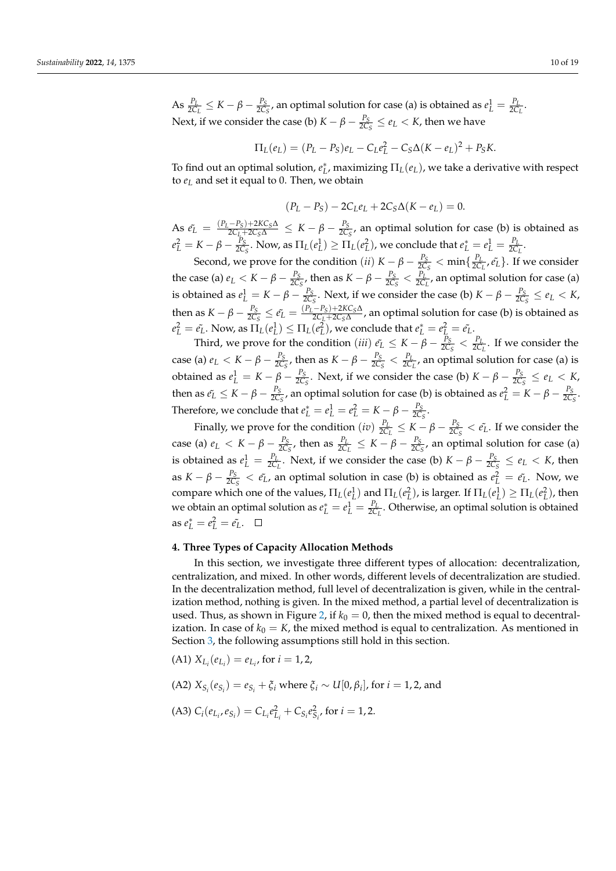$\text{As } \frac{P_L}{2C_L} \leq K - \beta - \frac{P_S}{2C_S}$  $\frac{P_S}{2C_S}$ , an optimal solution for case (a) is obtained as  $e_L^1 = \frac{P_L}{2C}$  $\frac{1}{2C_L}$ . Next, if we consider the case (b)  $K - \beta - \frac{P_S}{2C}$  $\frac{P_S}{2C_S} \leq e_L < K$ , then we have

$$
\Pi_L(e_L) = (P_L - P_S)e_L - C_L e_L^2 - C_S \Delta (K - e_L)^2 + P_S K.
$$

To find out an optimal solution,  $e_L^*$ , maximizing  $\Pi_L(e_L)$ , we take a derivative with respect to *e<sup>L</sup>* and set it equal to 0. Then, we obtain

$$
(P_L - P_S) - 2C_L e_L + 2C_S \Delta (K - e_L) = 0.
$$

 $\Delta$ S  $\tilde{e_L} = \frac{(P_L - P_S) + 2KC_S\Delta}{2C_L + 2C_S\Delta} \leq K - \beta - \frac{P_S}{2C_S}$  $\frac{r_S}{2C_S}$ , an optimal solution for case (b) is obtained as  $e_L^2 = K - \beta - \frac{P_S}{2C}$  $\frac{P_S}{2C_S}$ . Now, as  $\Pi_L(e_L^1) \geq \Pi_L(e_L^2)$ , we conclude that  $e_L^* = e_L^1 = \frac{P_L}{2C}$  $\frac{r_L}{2C_L}$ .

Second, we prove for the condition (*ii*)  $K - \beta - \frac{P_S}{2C}$  $\frac{P_S}{2C_S} < \min\{\frac{P_L}{2C}\}$  $\{P_L \over 2C_L}, \tilde{e_L}\}$ . If we consider the case (a)  $e_L < K - \beta - \frac{P_S}{2C}$  $\frac{P_S}{2C_S}$ , then as  $K - \beta - \frac{P_S}{2C_S}$  $\frac{P_S}{2C_S} < \frac{P_I}{2C_I}$  $\frac{P_L}{2C_L}$ , an optimal solution for case (a) is obtained as  $e_L^1 = K - \beta - \frac{P_S}{2C}$  $\frac{P_S}{2C_S}$ . Next, if we consider the case (b)  $K - \beta - \frac{P_S}{2C}$  $\frac{P_S}{2C_S} \leq e_L < K$ , then as  $K-\beta-\frac{P_S}{2C}$  $\frac{P_S}{2C_S} \leq \tilde{e_L} = \frac{(P_L-P_S)+2KC_S\Delta}{2C_L+2C_S\Delta}$ 2*CL*+2*CS*∆ , an optimal solution for case (b) is obtained as  $e_L^2 = e_L^r$ . Now, as  $\Pi_L(e_L^1) \leq \Pi_L(e_L^2)$ , we conclude that  $e_L^* = e_L^2 = e_L^r$ .

Third, we prove for the condition (*iii*)  $\tilde{e}_L \leq K - \beta - \frac{P_S}{2C}$  $\frac{P_S}{2C_S} < \frac{P_I}{2C_S}$  $\frac{r_L}{2C_L}$ . If we consider the case (a)  $e_L < K - \beta - \frac{P_S}{2C}$  $\frac{P_S}{2C_S}$ , then as  $K - \beta - \frac{P_S}{2C_S}$  $\frac{P_S}{2C_S} < \frac{P_L}{2C_S}$  $\frac{r_L}{2C_L}$ , an optimal solution for case (a) is obtained as  $e^1_L = K - \beta - \frac{P_S}{2C}$  $\frac{P_S}{2C_S}$ . Next, if we consider the case (b)  $K - \beta - \frac{P_S}{2C}$  $\frac{P_S}{2C_S} \leq e_L < K$ , then as  $\tilde{e_L} \leq K - \beta - \frac{P_S}{2C}$  $\frac{P_S}{2C_S}$ , an optimal solution for case (b) is obtained as  $e_L^2 = K - \beta - \frac{P_S}{2C}$  $rac{1S}{2C_S}$ . Therefore, we conclude that  $e_L^* = e_L^1 = e_L^2 = K - \beta - \frac{P_S}{2C}$  $rac{r_S}{2C_S}$ .

Finally, we prove for the condition  $(iv) \frac{P_l}{2C}$  $\frac{P_L}{2C_L} \leq K - \beta - \frac{P_S}{2C}$  $\frac{P_S}{2C_S} < \tilde{e}_L$ . If we consider the case (a)  $e_L < K - \beta - \frac{P_S}{2C}$  $\frac{P_S}{2C_S}$ , then as  $\frac{P_L}{2C_L} \leq K - \beta - \frac{P_S}{2C_S}$  $\frac{r_S}{2C_S}$ , an optimal solution for case (a) is obtained as  $e_L^1 = \frac{P_L}{2C}$  $\frac{P_L}{2C_L}$ . Next, if we consider the case (b)  $K - \beta - \frac{P_S}{2C}$  $\frac{P_S}{2C_S} \leq e_L < K$ , then as  $K - \beta - \frac{P_S}{2C}$  $\frac{P_S}{2C_S} < \tilde{e}_L$ , an optimal solution in case (b) is obtained as  $e_L^2 = \tilde{e}_L$ . Now, we compare which one of the values,  $\Pi_L(e_L^1)$  and  $\Pi_L(e_L^2)$ , is larger. If  $\Pi_L(e_L^1) \ge \Pi_L(e_L^2)$ , then we obtain an optimal solution as  $e_L^* = e_L^1 = \frac{P_L}{2C}$ 2*C<sup>L</sup>* . Otherwise, an optimal solution is obtained  $e_L^* = e_L^2 = e_L^2$ .

# <span id="page-9-0"></span>**4. Three Types of Capacity Allocation Methods**

In this section, we investigate three different types of allocation: decentralization, centralization, and mixed. In other words, different levels of decentralization are studied. In the decentralization method, full level of decentralization is given, while in the centralization method, nothing is given. In the mixed method, a partial level of decentralization is used. Thus, as shown in Figure [2,](#page-10-0) if  $k_0 = 0$ , then the mixed method is equal to decentralization. In case of  $k_0 = K$ , the mixed method is equal to centralization. As mentioned in Section [3,](#page-4-0) the following assumptions still hold in this section.

(A1) 
$$
X_{L_i}(e_{L_i}) = e_{L_i}
$$
, for  $i = 1, 2$ ,

(A2) 
$$
X_{S_i}(e_{S_i}) = e_{S_i} + \xi_i
$$
 where  $\xi_i \sim U[0, \beta_i]$ , for  $i = 1, 2$ , and

(A3) 
$$
C_i(e_{L_i}, e_{S_i}) = C_{L_i}e_{L_i}^2 + C_{S_i}e_{S_i}^2
$$
, for  $i = 1, 2$ .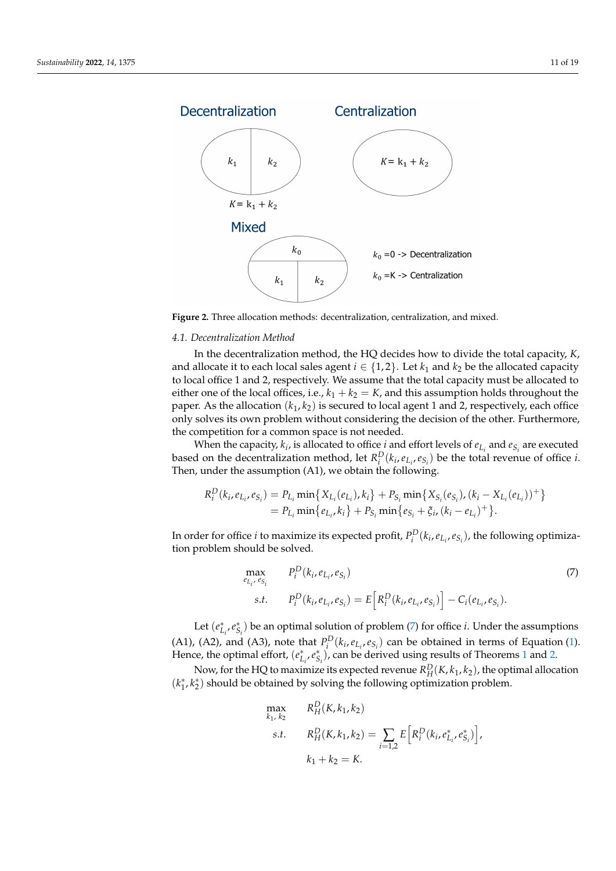<span id="page-10-0"></span>

**Figure 2.** Three allocation methods: decentralization, centralization, and mixed.

#### *4.1. Decentralization Method*

In the decentralization method, the HQ decides how to divide the total capacity, *K*, and allocate it to each local sales agent  $i \in \{1,2\}$ . Let  $k_1$  and  $k_2$  be the allocated capacity to local office 1 and 2, respectively. We assume that the total capacity must be allocated to either one of the local offices, i.e.,  $k_1 + k_2 = K$ , and this assumption holds throughout the paper. As the allocation  $(k_1, k_2)$  is secured to local agent 1 and 2, respectively, each office only solves its own problem without considering the decision of the other. Furthermore, the competition for a common space is not needed.

When the capacity,  $k_i$ , is allocated to office *i* and effort levels of  $e_{L_i}$  and  $e_{S_i}$  are executed based on the decentralization method, let  $R_i^D(k_i, e_{L_i}, e_{S_i})$  be the total revenue of office *i*. Then, under the assumption (A1), we obtain the following.

$$
R_i^D(k_i, e_{L_i}, e_{S_i}) = P_{L_i} \min \{ X_{L_i}(e_{L_i}), k_i \} + P_{S_i} \min \{ X_{S_i}(e_{S_i}), (k_i - X_{L_i}(e_{L_i}))^+ \}
$$
  
=  $P_{L_i} \min \{ e_{L_i}, k_i \} + P_{S_i} \min \{ e_{S_i} + \xi_i, (k_i - e_{L_i})^+ \}.$ 

In order for office *i* to maximize its expected profit,  $P_i^D(k_i, e_{L_i}, e_{S_i})$ , the following optimization problem should be solved.

<span id="page-10-1"></span>
$$
\max_{e_{L_i}, e_{S_i}} P_i^D(k_i, e_{L_i}, e_{S_i})
$$
\n*s.t.* 
$$
P_i^D(k_i, e_{L_i}, e_{S_i}) = E\left[R_i^D(k_i, e_{L_i}, e_{S_i})\right] - C_i(e_{L_i}, e_{S_i}).
$$
\n(7)

Let  $(e_{L_i}^*, e_{S_i}^*)$  be an optimal solution of problem [\(7\)](#page-10-1) for office *i*. Under the assumptions (A1), (A2), and (A3), note that  $P_i^D(k_i, e_{L_i}, e_{S_i})$  can be obtained in terms of Equation [\(1\)](#page-5-4). Hence, the optimal effort,  $(e_{L_i}^*, e_{S_i}^*)$ , can be derived using results of Theorems [1](#page-6-0) and [2.](#page-8-0)

Now, for the HQ to maximize its expected revenue  $R_H^D(K, k_1, k_2)$ , the optimal allocation ( $k_1^*, k_2^*$ ) should be obtained by solving the following optimization problem.

$$
\max_{k_1, k_2} \qquad R_H^D(K, k_1, k_2)
$$
\n
$$
s.t. \qquad R_H^D(K, k_1, k_2) = \sum_{i=1,2} E\Big[R_i^D(k_i, e_{L_i}^*, e_{S_i}^*)\Big],
$$
\n
$$
k_1 + k_2 = K.
$$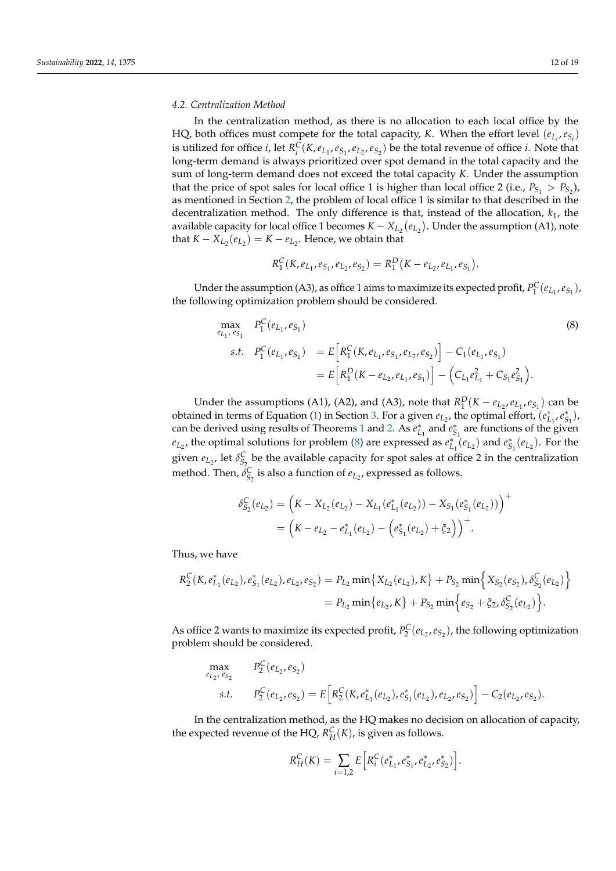#### *4.2. Centralization Method*

In the centralization method, as there is no allocation to each local office by the HQ, both offices must compete for the total capacity, *K*. When the effort level  $(e_{L_i}, e_{S_i})$ is utilized for office *i*, let  $R_i^C(K, e_{L_1}, e_{S_1}, e_{L_2}, e_{S_2})$  be the total revenue of office *i*. Note that long-term demand is always prioritized over spot demand in the total capacity and the sum of long-term demand does not exceed the total capacity *K*. Under the assumption that the price of spot sales for local office 1 is higher than local office 2 (i.e.,  $P_{S_1} > P_{S_2}$ ), as mentioned in Section [2,](#page-2-0) the problem of local office 1 is similar to that described in the decentralization method. The only difference is that, instead of the allocation, *k*1, the available capacity for local office 1 becomes  $K - X_{L_2}(e_{L_2})$ . Under the assumption (A1), note that  $K - X_{L_2}(e_{L_2}) = K - e_{L_2}$ . Hence, we obtain that

$$
R_1^C(K, e_{L_1}, e_{S_1}, e_{L_2}, e_{S_2}) = R_1^D(K - e_{L_2}, e_{L_1}, e_{S_1}).
$$

Under the assumption (A3), as office 1 aims to maximize its expected profit,  $P_1^C(e_{L_1}, e_{S_1})$ , the following optimization problem should be considered.

<span id="page-11-0"></span>
$$
\begin{aligned}\n\max_{e_{L_1}, e_{S_1}} & P_1^C(e_{L_1}, e_{S_1}) \\
\text{s.t.} & P_1^C(e_{L_1}, e_{S_1}) = E\Big[R_1^C(K, e_{L_1}, e_{S_1}, e_{L_2}, e_{S_2})\Big] - C_1(e_{L_1}, e_{S_1}) \\
&= E\Big[R_1^D(K - e_{L_2}, e_{L_1}, e_{S_1})\Big] - \Big(C_{L_1}e_{L_1}^2 + C_{S_1}e_{S_1}^2\Big).\n\end{aligned}
$$
\n
$$
(8)
$$

Under the assumptions (A1), (A2), and (A3), note that  $R_1^D$  ( $K - e_{L_2}, e_{L_1}, e_{S_1}$ ) can be obtained in terms of Equation [\(1\)](#page-5-4) in Section [3.](#page-4-0) For a given  $e_{L_2}$ , the optimal effort,  $(e_{L_1}^*, e_{S_1}^*)$ , can be derived using results of Theorems [1](#page-6-0) and [2.](#page-8-0) As  $e_{L_1}^*$  and  $e_{S_1}^*$  are functions of the given  $e_{L_2}$ , the optimal solutions for problem [\(8\)](#page-11-0) are expressed as  $e_{L_1}^*(e_{L_2})$  and  $e_{S_1}^*(e_{L_2})$ . For the given  $e_{L_2}$ , let  $\delta_{S_2}^C$  be the available capacity for spot sales at office 2 in the centralization method. Then,  $\delta_{S_2}^C$  is also a function of  $e_{L_2}$ , expressed as follows.

$$
\delta_{S_2}^C(e_{L_2}) = (K - X_{L_2}(e_{L_2}) - X_{L_1}(e_{L_1}^*(e_{L_2})) - X_{S_1}(e_{S_1}^*(e_{L_2})) )^+
$$
  
=  $(K - e_{L_2} - e_{L_1}^*(e_{L_2}) - (e_{S_1}^*(e_{L_2}) + \xi_2)) ^+$ .

Thus, we have

$$
R_2^C(K, e_{L_1}^*(e_{L_2}), e_{S_1}^*(e_{L_2}), e_{L_2}, e_{S_2}) = P_{L_2} \min\{X_{L_2}(e_{L_2}), K\} + P_{S_2} \min\{X_{S_2}(e_{S_2}), \delta_{S_2}^C(e_{L_2})\}
$$
  
=  $P_{L_2} \min\{e_{L_2}, K\} + P_{S_2} \min\{e_{S_2} + \xi_{2}, \delta_{S_2}^C(e_{L_2})\}.$ 

As office 2 wants to maximize its expected profit,  $P_2^C(e_{L_2}, e_{S_2})$ , the following optimization problem should be considered.

$$
\max_{e_{L_2}, e_{S_2}} P_2^C(e_{L_2}, e_{S_2})
$$
\n*s.t.* 
$$
P_2^C(e_{L_2}, e_{S_2}) = E\Big[R_2^C(K, e_{L_1}^*(e_{L_2}), e_{S_1}^*(e_{L_2}), e_{L_2}, e_{S_2})\Big] - C_2(e_{L_2}, e_{S_2}).
$$

In the centralization method, as the HQ makes no decision on allocation of capacity, the expected revenue of the HQ,  $R_H^C(K)$ , is given as follows.

$$
R_H^C(K) = \sum_{i=1,2} E\Big[R_i^C(e_{L_1}^*, e_{S_1}^*, e_{L_2}^*, e_{S_2}^*)\Big].
$$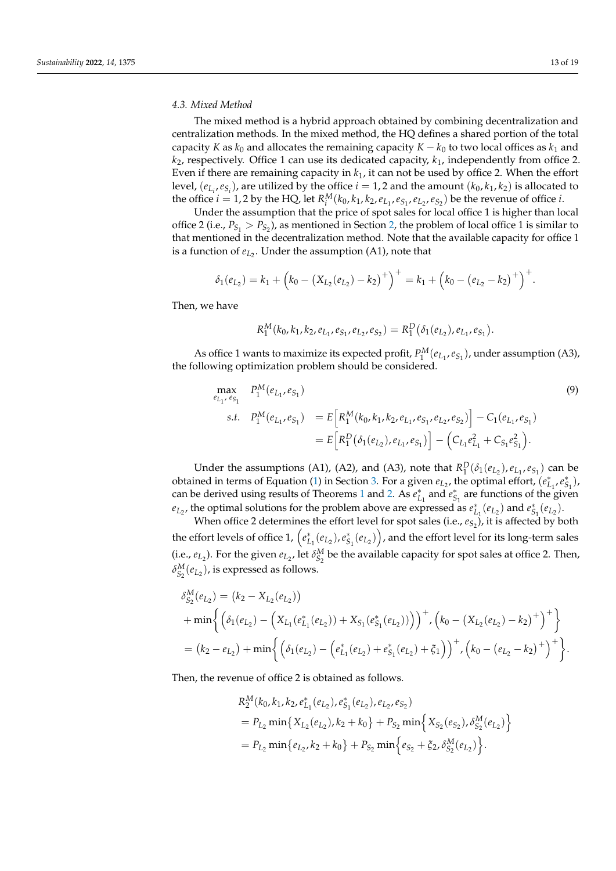#### *4.3. Mixed Method*

The mixed method is a hybrid approach obtained by combining decentralization and centralization methods. In the mixed method, the HQ defines a shared portion of the total capacity *K* as  $k_0$  and allocates the remaining capacity  $K - k_0$  to two local offices as  $k_1$  and *k*2, respectively. Office 1 can use its dedicated capacity, *k*1, independently from office 2. Even if there are remaining capacity in *k*1, it can not be used by office 2. When the effort level,  $(e_{L_i}, e_{S_i})$ , are utilized by the office  $i = 1, 2$  and the amount  $(k_0, k_1, k_2)$  is allocated to the office  $i = 1, 2$  by the HQ, let  $R_i^M(k_0, k_1, k_2, e_{L_1}, e_{S_1}, e_{L_2}, e_{S_2})$  be the revenue of office *i*.

Under the assumption that the price of spot sales for local office 1 is higher than local office 2 (i.e.,  $P_{S_1} > P_{S_2}$ ), as mentioned in Section [2,](#page-2-0) the problem of local office 1 is similar to that mentioned in the decentralization method. Note that the available capacity for office 1 is a function of  $e_{L_2}$ . Under the assumption (A1), note that

$$
\delta_1(e_{L_2}) = k_1 + (k_0 - (X_{L_2}(e_{L_2}) - k_2)^+)^\perp = k_1 + (k_0 - (e_{L_2} - k_2)^\perp)^\perp.
$$

Then, we have

$$
R_1^M(k_0,k_1,k_2,e_{L_1},e_{S_1},e_{L_2},e_{S_2}) = R_1^D(\delta_1(e_{L_2}),e_{L_1},e_{S_1}).
$$

As office 1 wants to maximize its expected profit,  $P_1^M(e_{L_1}, e_{S_1})$ , under assumption (A3), the following optimization problem should be considered.

<span id="page-12-0"></span>
$$
\begin{aligned}\n\max_{e_{L_1}, e_{S_1}} & P_1^M(e_{L_1}, e_{S_1}) \\
\text{s.t.} & P_1^M(e_{L_1}, e_{S_1}) = E\Big[R_1^M(k_0, k_1, k_2, e_{L_1}, e_{S_1}, e_{L_2}, e_{S_2})\Big] - C_1(e_{L_1}, e_{S_1}) \\
&= E\Big[R_1^D(\delta_1(e_{L_2}), e_{L_1}, e_{S_1})\Big] - \Big(C_{L_1}e_{L_1}^2 + C_{S_1}e_{S_1}^2\Big).\n\end{aligned} \tag{9}
$$

Under the assumptions (A1), (A2), and (A3), note that  $R_1^D(\delta_1(e_{L_2}), e_{L_1}, e_{S_1})$  can be obtained in terms of Equation [\(1\)](#page-5-4) in Section [3.](#page-4-0) For a given  $e_{L_2}$ , the optimal effort,  $(e_{L_1}^*, e_{S_1}^*)$ , can be derived using results of Theorems [1](#page-6-0) and [2.](#page-8-0) As  $e_{L_1}^*$  and  $e_{S_1}^*$  are functions of the given *e*<sub>L<sub>2</sub></sub>, the optimal solutions for the problem above are expressed as  $e_{L_1}^*(e_{L_2})$  and  $e_{S_1}^*(e_{L_2})$ .

When office 2 determines the effort level for spot sales (i.e.,  $e_{S_2}$ ), it is affected by both the effort levels of office 1,  $\left(e^*_{L_1}(e_{L_2}),e^*_{S_1}(e_{L_2})\right)$ , and the effort level for its long-term sales (i.e.,  $e_{L_2}$ ). For the given  $e_{L_2}$ , let  $\delta_{S_2}^M$  be the available capacity for spot sales at office 2. Then,  $\delta_{S_2}^M(e_{L_2})$ , is expressed as follows.

$$
\delta_{S_2}^M(e_{L_2}) = (k_2 - X_{L_2}(e_{L_2}))
$$
  
+ min $\left\{ \left( \delta_1(e_{L_2}) - \left( X_{L_1}(e_{L_1}^*(e_{L_2})) + X_{S_1}(e_{S_1}^*(e_{L_2})) \right) \right)^+, \left( k_0 - \left( X_{L_2}(e_{L_2}) - k_2 \right)^+ \right)^+ \right\}$   
=  $(k_2 - e_{L_2}) + \min \left\{ \left( \delta_1(e_{L_2}) - \left( e_{L_1}^*(e_{L_2}) + e_{S_1}^*(e_{L_2}) + \xi_1 \right) \right)^+, \left( k_0 - \left( e_{L_2} - k_2 \right)^+ \right)^+ \right\}.$ 

Then, the revenue of office 2 is obtained as follows.

$$
R_2^M(k_0, k_1, k_2, e_{L_1}^*(e_{L_2}), e_{S_1}^*(e_{L_2}), e_{L_2}, e_{S_2})
$$
  
=  $P_{L_2} \min \{ X_{L_2}(e_{L_2}), k_2 + k_0 \} + P_{S_2} \min \{ X_{S_2}(e_{S_2}), \delta_{S_2}^M(e_{L_2}) \}$   
=  $P_{L_2} \min \{ e_{L_2}, k_2 + k_0 \} + P_{S_2} \min \{ e_{S_2} + \xi_2, \delta_{S_2}^M(e_{L_2}) \}.$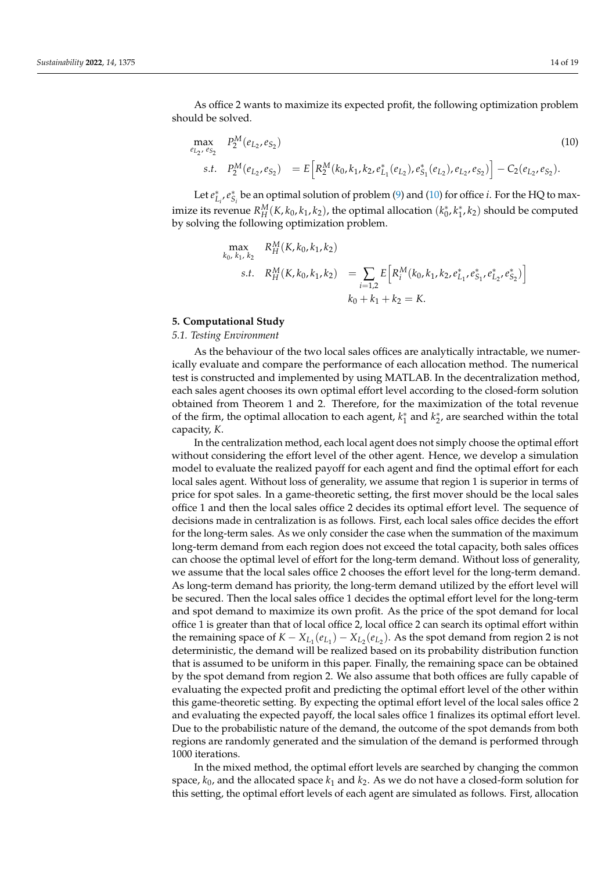As office 2 wants to maximize its expected profit, the following optimization problem should be solved.

<span id="page-13-1"></span>
$$
\max_{e_{L_2}, e_{S_2}} P_2^M(e_{L_2}, e_{S_2}) = E\Big[R_2^M(k_0, k_1, k_2, e_{L_1}^*(e_{L_2}), e_{S_1}^*(e_{L_2}), e_{L_2}, e_{S_2})\Big] - C_2(e_{L_2}, e_{S_2}).
$$
\n(10)

Let  $e_{L_i}^*, e_{S_i}^*$  be an optimal solution of problem [\(9\)](#page-12-0) and [\(10\)](#page-13-1) for office *i*. For the HQ to maximize its revenue  $R_H^M(K, k_0, k_1, k_2)$ , the optimal allocation  $(k_0^*, k_1^*, k_2)$  should be computed by solving the following optimization problem.

$$
\max_{k_0, k_1, k_2} R_H^M(K, k_0, k_1, k_2)
$$
\n*s.t.*  $R_H^M(K, k_0, k_1, k_2) = \sum_{i=1,2} E\left[R_i^M(k_0, k_1, k_2, e_{L_1}^*, e_{S_1}^*, e_{L_2}^*, e_{S_2}^*)\right]$   
\n
$$
k_0 + k_1 + k_2 = K.
$$

### <span id="page-13-0"></span>**5. Computational Study**

#### *5.1. Testing Environment*

As the behaviour of the two local sales offices are analytically intractable, we numerically evaluate and compare the performance of each allocation method. The numerical test is constructed and implemented by using MATLAB. In the decentralization method, each sales agent chooses its own optimal effort level according to the closed-form solution obtained from Theorem 1 and 2. Therefore, for the maximization of the total revenue of the firm, the optimal allocation to each agent,  $k_1^*$  and  $k_2^*$ , are searched within the total capacity, *K*.

In the centralization method, each local agent does not simply choose the optimal effort without considering the effort level of the other agent. Hence, we develop a simulation model to evaluate the realized payoff for each agent and find the optimal effort for each local sales agent. Without loss of generality, we assume that region 1 is superior in terms of price for spot sales. In a game-theoretic setting, the first mover should be the local sales office 1 and then the local sales office 2 decides its optimal effort level. The sequence of decisions made in centralization is as follows. First, each local sales office decides the effort for the long-term sales. As we only consider the case when the summation of the maximum long-term demand from each region does not exceed the total capacity, both sales offices can choose the optimal level of effort for the long-term demand. Without loss of generality, we assume that the local sales office 2 chooses the effort level for the long-term demand. As long-term demand has priority, the long-term demand utilized by the effort level will be secured. Then the local sales office 1 decides the optimal effort level for the long-term and spot demand to maximize its own profit. As the price of the spot demand for local office 1 is greater than that of local office 2, local office 2 can search its optimal effort within the remaining space of  $K - X_{L_1}(e_{L_1}) - X_{L_2}(e_{L_2})$ . As the spot demand from region 2 is not deterministic, the demand will be realized based on its probability distribution function that is assumed to be uniform in this paper. Finally, the remaining space can be obtained by the spot demand from region 2. We also assume that both offices are fully capable of evaluating the expected profit and predicting the optimal effort level of the other within this game-theoretic setting. By expecting the optimal effort level of the local sales office 2 and evaluating the expected payoff, the local sales office 1 finalizes its optimal effort level. Due to the probabilistic nature of the demand, the outcome of the spot demands from both regions are randomly generated and the simulation of the demand is performed through 1000 iterations.

In the mixed method, the optimal effort levels are searched by changing the common space,  $k_0$ , and the allocated space  $k_1$  and  $k_2$ . As we do not have a closed-form solution for this setting, the optimal effort levels of each agent are simulated as follows. First, allocation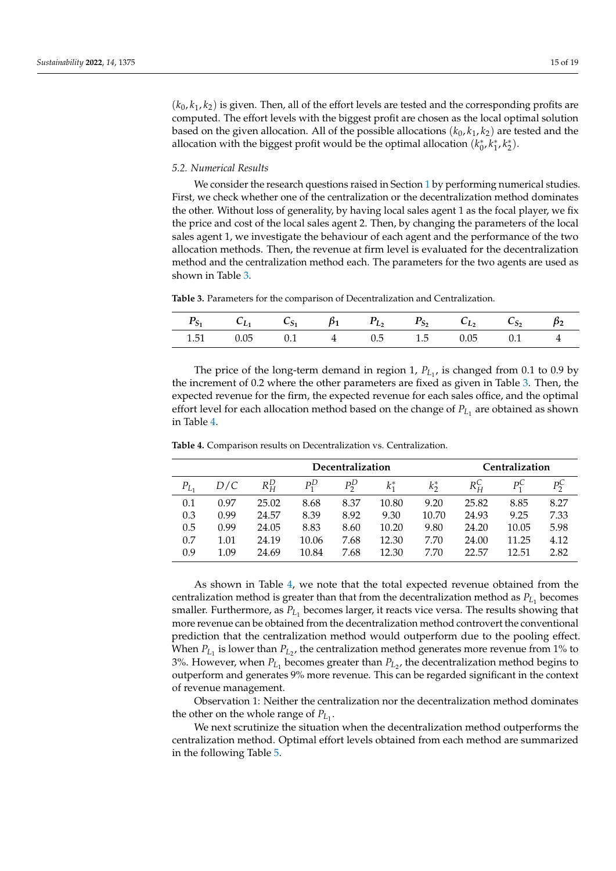$(k_0, k_1, k_2)$  is given. Then, all of the effort levels are tested and the corresponding profits are computed. The effort levels with the biggest profit are chosen as the local optimal solution based on the given allocation. All of the possible allocations  $(k_0, k_1, k_2)$  are tested and the allocation with the biggest profit would be the optimal allocation  $(k_0^*, k_1^*, k_2^*)$ .

#### *5.2. Numerical Results*

We consider the research questions raised in Section [1](#page-0-0) by performing numerical studies. First, we check whether one of the centralization or the decentralization method dominates the other. Without loss of generality, by having local sales agent 1 as the focal player, we fix the price and cost of the local sales agent 2. Then, by changing the parameters of the local sales agent 1, we investigate the behaviour of each agent and the performance of the two allocation methods. Then, the revenue at firm level is evaluated for the decentralization method and the centralization method each. The parameters for the two agents are used as shown in Table [3.](#page-14-0)

<span id="page-14-0"></span>**Table 3.** Parameters for the comparison of Decentralization and Centralization.

|      |                           |  | $C_{S_1}$ $\beta_1$ $P_L$ , $P_{S_2}$ $C_L$ , |        |  |
|------|---------------------------|--|-----------------------------------------------|--------|--|
| 1.51 | $0.05$ 0.1 4 0.5 1.5 0.05 |  |                                               | $01$ 4 |  |

The price of the long-term demand in region 1,  $P_{L_1}$ , is changed from 0.1 to 0.9 by the increment of 0.2 where the other parameters are fixed as given in Table [3.](#page-14-0) Then, the expected revenue for the firm, the expected revenue for each sales office, and the optimal effort level for each allocation method based on the change of  $P_{L_1}$  are obtained as shown in Table [4.](#page-14-1)

| Decentralization |      |             |              |      |         |         |         | Centralization |      |
|------------------|------|-------------|--------------|------|---------|---------|---------|----------------|------|
| $P_{L_1}$        | D/C  | $R_{H}^{D}$ | $P^D_{\tau}$ | рŖ   | $k_1^*$ | $k_2^*$ | $R_H^C$ | рÇ             |      |
| 0.1              | 0.97 | 25.02       | 8.68         | 8.37 | 10.80   | 9.20    | 25.82   | 8.85           | 8.27 |
| 0.3              | 0.99 | 24.57       | 8.39         | 8.92 | 9.30    | 10.70   | 24.93   | 9.25           | 7.33 |
| 0.5              | 0.99 | 24.05       | 8.83         | 8.60 | 10.20   | 9.80    | 24.20   | 10.05          | 5.98 |
| 0.7              | 1.01 | 24.19       | 10.06        | 7.68 | 12.30   | 7.70    | 24.00   | 11.25          | 4.12 |
| 0.9              | 1.09 | 24.69       | 10.84        | 7.68 | 12.30   | 7.70    | 22.57   | 12.51          | 2.82 |

<span id="page-14-1"></span>**Table 4.** Comparison results on Decentralization vs. Centralization.

As shown in Table [4,](#page-14-1) we note that the total expected revenue obtained from the centralization method is greater than that from the decentralization method as  $P_{L_1}$  becomes smaller. Furthermore*,* as  $P_{L_1}$  becomes larger, it reacts vice versa. The results showing that more revenue can be obtained from the decentralization method controvert the conventional prediction that the centralization method would outperform due to the pooling effect. When  $P_{L_1}$  is lower than  $P_{L_2}$ , the centralization method generates more revenue from 1% to 3%. However, when  $P_{L_1}$  becomes greater than  $P_{L_2}$ , the decentralization method begins to outperform and generates 9% more revenue. This can be regarded significant in the context of revenue management.

Observation 1: Neither the centralization nor the decentralization method dominates the other on the whole range of  $P_{L_1}$ .

We next scrutinize the situation when the decentralization method outperforms the centralization method. Optimal effort levels obtained from each method are summarized in the following Table [5.](#page-15-0)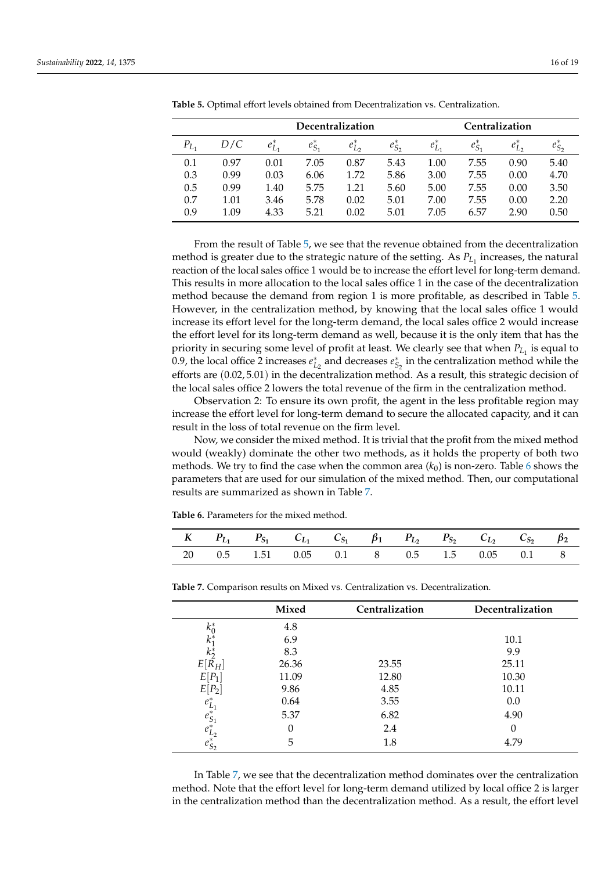|           |      | Decentralization |             |             |             |             | Centralization |             |             |  |
|-----------|------|------------------|-------------|-------------|-------------|-------------|----------------|-------------|-------------|--|
| $P_{L_1}$ | D/C  | $e_{L_1}^*$      | $e_{S_1}^*$ | $e_{L_2}^*$ | $e_{S_2}^*$ | $e_{L_1}^*$ | $e_{S_1}^*$    | $e_{L_2}^*$ | $e_{S_2}^*$ |  |
| 0.1       | 0.97 | 0.01             | 7.05        | 0.87        | 5.43        | 1.00        | 7.55           | 0.90        | 5.40        |  |
| 0.3       | 0.99 | 0.03             | 6.06        | 1.72        | 5.86        | 3.00        | 7.55           | 0.00        | 4.70        |  |
| 0.5       | 0.99 | 1.40             | 5.75        | 1.21        | 5.60        | 5.00        | 7.55           | 0.00        | 3.50        |  |
| 0.7       | 1.01 | 3.46             | 5.78        | 0.02        | 5.01        | 7.00        | 7.55           | 0.00        | 2.20        |  |
| 0.9       | 1.09 | 4.33             | 5.21        | 0.02        | 5.01        | 7.05        | 6.57           | 2.90        | 0.50        |  |

<span id="page-15-0"></span>**Table 5.** Optimal effort levels obtained from Decentralization vs. Centralization.

From the result of Table [5,](#page-15-0) we see that the revenue obtained from the decentralization method is greater due to the strategic nature of the setting. As  $P_{L_1}$  increases, the natural reaction of the local sales office 1 would be to increase the effort level for long-term demand. This results in more allocation to the local sales office 1 in the case of the decentralization method because the demand from region 1 is more profitable, as described in Table [5.](#page-15-0) However, in the centralization method, by knowing that the local sales office 1 would increase its effort level for the long-term demand, the local sales office 2 would increase the effort level for its long-term demand as well, because it is the only item that has the priority in securing some level of profit at least. We clearly see that when  $P_{L_1}$  is equal to 0.9, the local office 2 increases  $e_{L_2}^*$  and decreases  $e_{S_2}^*$  in the centralization method while the efforts are (0.02, 5.01) in the decentralization method. As a result, this strategic decision of the local sales office 2 lowers the total revenue of the firm in the centralization method.

Observation 2: To ensure its own profit, the agent in the less profitable region may increase the effort level for long-term demand to secure the allocated capacity, and it can result in the loss of total revenue on the firm level.

Now, we consider the mixed method. It is trivial that the profit from the mixed method would (weakly) dominate the other two methods, as it holds the property of both two methods. We try to find the case when the common area  $(k_0)$  is non-zero. Table [6](#page-15-1) shows the parameters that are used for our simulation of the mixed method. Then, our computational results are summarized as shown in Table [7.](#page-15-2)

<span id="page-15-1"></span>**Table 6.** Parameters for the mixed method.

|  | K $P_{L_1}$ $P_{S_1}$ $C_{L_1}$ $C_{S_1}$ $\beta_1$ $P_{L_2}$ $P_{S_2}$ $C_{L_2}$ $C_{S_2}$ $\beta_2$ |  |  |  |  |
|--|-------------------------------------------------------------------------------------------------------|--|--|--|--|
|  | 20  0.5  1.51  0.05  0.1  8  0.5  1.5  0.05  0.1  8                                                   |  |  |  |  |

|                                                          | Mixed | Centralization | Decentralization |
|----------------------------------------------------------|-------|----------------|------------------|
| $k_0^*$                                                  | 4.8   |                |                  |
| $k_1^*$                                                  | 6.9   |                | 10.1             |
| $k_{2}^{*}$                                              | 8.3   |                | 9.9              |
| $E[R_H]$                                                 | 26.36 | 23.55          | 25.11            |
| $E[P_1]$                                                 | 11.09 | 12.80          | 10.30            |
| E<br>$[P_2]$                                             | 9.86  | 4.85           | 10.11            |
|                                                          | 0.64  | 3.55           | 0.0              |
|                                                          | 5.37  | 6.82           | 4.90             |
|                                                          |       | 2.4            |                  |
| $e_{L_1}^*$<br>$e_{S_1}^*$<br>$e_{L_2}^*$<br>$e_{S_2}^*$ | 5     | 1.8            | 4.79             |

<span id="page-15-2"></span>**Table 7.** Comparison results on Mixed vs. Centralization vs. Decentralization.

In Table [7,](#page-15-2) we see that the decentralization method dominates over the centralization method. Note that the effort level for long-term demand utilized by local office 2 is larger in the centralization method than the decentralization method. As a result, the effort level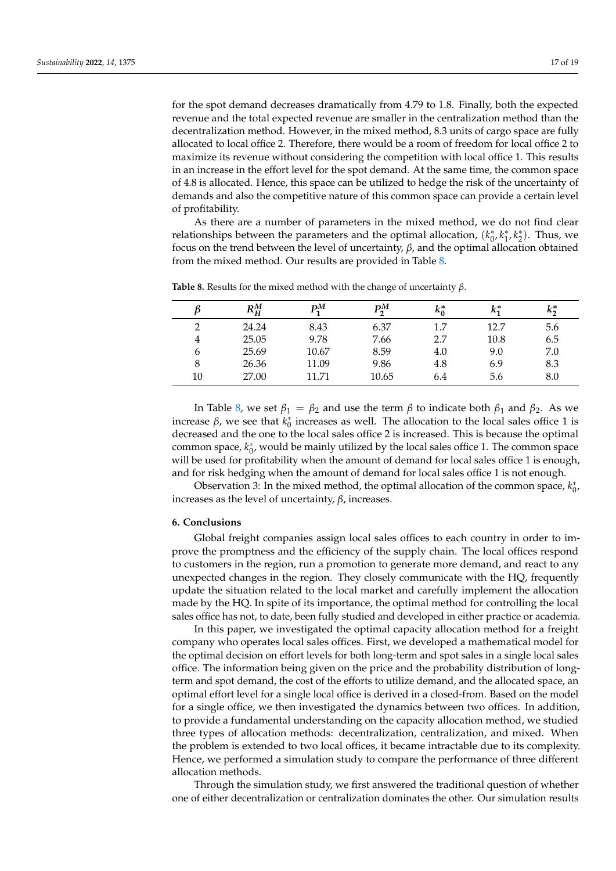for the spot demand decreases dramatically from 4.79 to 1.8. Finally, both the expected revenue and the total expected revenue are smaller in the centralization method than the decentralization method. However, in the mixed method, 8.3 units of cargo space are fully allocated to local office 2. Therefore, there would be a room of freedom for local office 2 to maximize its revenue without considering the competition with local office 1. This results in an increase in the effort level for the spot demand. At the same time, the common space of 4.8 is allocated. Hence, this space can be utilized to hedge the risk of the uncertainty of demands and also the competitive nature of this common space can provide a certain level of profitability.

As there are a number of parameters in the mixed method, we do not find clear relationships between the parameters and the optimal allocation,  $(k_0^*, k_1^*, k_2^*)$ . Thus, we focus on the trend between the level of uncertainty, *β*, and the optimal allocation obtained from the mixed method. Our results are provided in Table [8.](#page-16-1)

|                | $R_H^M$ | $\mathrm{P}^M_\mathrm{f}$ | $P_\gamma^M$ | $k_0^*$ | $k_1^*$ | $k_2^*$ |
|----------------|---------|---------------------------|--------------|---------|---------|---------|
| $\mathcal{D}$  | 24.24   | 8.43                      | 6.37         | 1.7     | 12.7    | 5.6     |
| $\overline{4}$ | 25.05   | 9.78                      | 7.66         | 2.7     | 10.8    | 6.5     |
| 6              | 25.69   | 10.67                     | 8.59         | 4.0     | 9.0     | 7.0     |
| 8              | 26.36   | 11.09                     | 9.86         | 4.8     | 6.9     | 8.3     |
| 10             | 27.00   | 11.71                     | 10.65        | 6.4     | 5.6     | 8.0     |

<span id="page-16-1"></span>**Table 8.** Results for the mixed method with the change of uncertainty *β*.

In Table [8,](#page-16-1) we set  $β_1 = β_2$  and use the term *β* to indicate both  $β_1$  and  $β_2$ . As we increase *β*, we see that  $k_0^*$  increases as well. The allocation to the local sales office 1 is decreased and the one to the local sales office 2 is increased. This is because the optimal common space,  $k_0^*$ , would be mainly utilized by the local sales office 1. The common space will be used for profitability when the amount of demand for local sales office 1 is enough, and for risk hedging when the amount of demand for local sales office 1 is not enough.

Observation 3: In the mixed method, the optimal allocation of the common space,  $k_0^*$ , increases as the level of uncertainty, *β*, increases.

#### <span id="page-16-0"></span>**6. Conclusions**

Global freight companies assign local sales offices to each country in order to improve the promptness and the efficiency of the supply chain. The local offices respond to customers in the region, run a promotion to generate more demand, and react to any unexpected changes in the region. They closely communicate with the HQ, frequently update the situation related to the local market and carefully implement the allocation made by the HQ. In spite of its importance, the optimal method for controlling the local sales office has not, to date, been fully studied and developed in either practice or academia.

In this paper, we investigated the optimal capacity allocation method for a freight company who operates local sales offices. First, we developed a mathematical model for the optimal decision on effort levels for both long-term and spot sales in a single local sales office. The information being given on the price and the probability distribution of longterm and spot demand, the cost of the efforts to utilize demand, and the allocated space, an optimal effort level for a single local office is derived in a closed-from. Based on the model for a single office, we then investigated the dynamics between two offices. In addition, to provide a fundamental understanding on the capacity allocation method, we studied three types of allocation methods: decentralization, centralization, and mixed. When the problem is extended to two local offices, it became intractable due to its complexity. Hence, we performed a simulation study to compare the performance of three different allocation methods.

Through the simulation study, we first answered the traditional question of whether one of either decentralization or centralization dominates the other. Our simulation results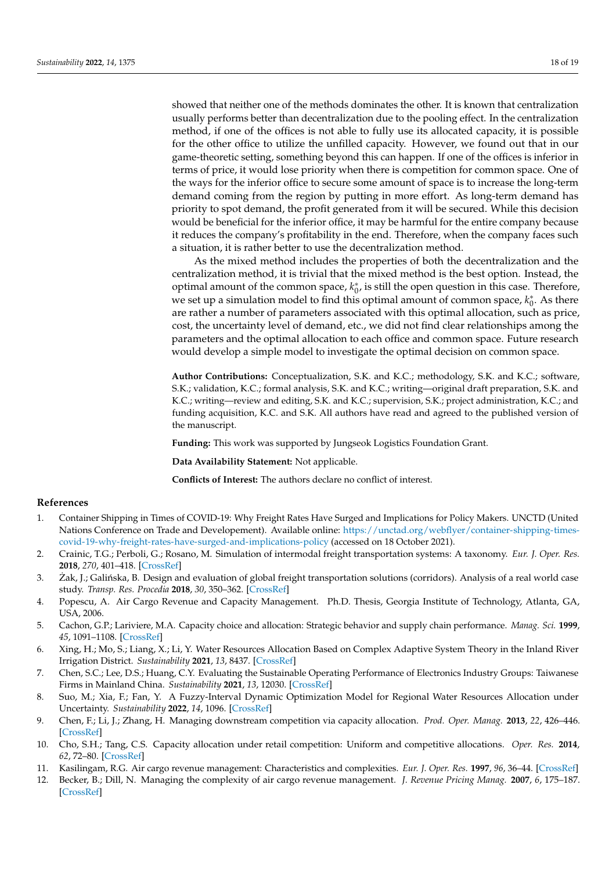showed that neither one of the methods dominates the other. It is known that centralization usually performs better than decentralization due to the pooling effect. In the centralization method, if one of the offices is not able to fully use its allocated capacity, it is possible for the other office to utilize the unfilled capacity. However, we found out that in our game-theoretic setting, something beyond this can happen. If one of the offices is inferior in terms of price, it would lose priority when there is competition for common space. One of the ways for the inferior office to secure some amount of space is to increase the long-term demand coming from the region by putting in more effort. As long-term demand has priority to spot demand, the profit generated from it will be secured. While this decision would be beneficial for the inferior office, it may be harmful for the entire company because it reduces the company's profitability in the end. Therefore, when the company faces such a situation, it is rather better to use the decentralization method.

As the mixed method includes the properties of both the decentralization and the centralization method, it is trivial that the mixed method is the best option. Instead, the optimal amount of the common space,  $k_0^*$ , is still the open question in this case. Therefore, we set up a simulation model to find this optimal amount of common space,  $k_0^*$ . As there are rather a number of parameters associated with this optimal allocation, such as price, cost, the uncertainty level of demand, etc., we did not find clear relationships among the parameters and the optimal allocation to each office and common space. Future research would develop a simple model to investigate the optimal decision on common space.

**Author Contributions:** Conceptualization, S.K. and K.C.; methodology, S.K. and K.C.; software, S.K.; validation, K.C.; formal analysis, S.K. and K.C.; writing—original draft preparation, S.K. and K.C.; writing—review and editing, S.K. and K.C.; supervision, S.K.; project administration, K.C.; and funding acquisition, K.C. and S.K. All authors have read and agreed to the published version of the manuscript.

**Funding:** This work was supported by Jungseok Logistics Foundation Grant.

**Data Availability Statement:** Not applicable.

**Conflicts of Interest:** The authors declare no conflict of interest.

#### **References**

- <span id="page-17-0"></span>1. Container Shipping in Times of COVID-19: Why Freight Rates Have Surged and Implications for Policy Makers. UNCTD (United Nations Conference on Trade and Developement). Available online: [https://unctad.org/webflyer/container-shipping-times](https://unctad.org/webflyer/container-shipping-times-covid-19-why-freight-rates-have-surged-and-implications-policy)[covid-19-why-freight-rates-have-surged-and-implications-policy](https://unctad.org/webflyer/container-shipping-times-covid-19-why-freight-rates-have-surged-and-implications-policy) (accessed on 18 October 2021).
- <span id="page-17-1"></span>2. Crainic, T.G.; Perboli, G.; Rosano, M. Simulation of intermodal freight transportation systems: A taxonomy. *Eur. J. Oper. Res.* **2018**, *270*, 401–418. [\[CrossRef\]](http://doi.org/10.1016/j.ejor.2017.11.061)
- <span id="page-17-2"></span>3. Żak, J.; Galińska, B. Design and evaluation of global freight transportation solutions (corridors). Analysis of a real world case study. *Transp. Res. Procedia* **2018**, *30*, 350–362. [\[CrossRef\]](http://dx.doi.org/10.1016/j.trpro.2018.09.038)
- <span id="page-17-3"></span>4. Popescu, A. Air Cargo Revenue and Capacity Management. Ph.D. Thesis, Georgia Institute of Technology, Atlanta, GA, USA, 2006.
- <span id="page-17-4"></span>5. Cachon, G.P.; Lariviere, M.A. Capacity choice and allocation: Strategic behavior and supply chain performance. *Manag. Sci.* **1999**, *45*, 1091–1108. [\[CrossRef\]](http://dx.doi.org/10.1287/mnsc.45.8.1091)
- <span id="page-17-5"></span>6. Xing, H.; Mo, S.; Liang, X.; Li, Y. Water Resources Allocation Based on Complex Adaptive System Theory in the Inland River Irrigation District. *Sustainability* **2021**, *13*, 8437. [\[CrossRef\]](http://dx.doi.org/10.3390/su13158437)
- 7. Chen, S.C.; Lee, D.S.; Huang, C.Y. Evaluating the Sustainable Operating Performance of Electronics Industry Groups: Taiwanese Firms in Mainland China. *Sustainability* **2021**, *13*, 12030. [\[CrossRef\]](http://dx.doi.org/10.3390/su132112030)
- <span id="page-17-6"></span>8. Suo, M.; Xia, F.; Fan, Y. A Fuzzy-Interval Dynamic Optimization Model for Regional Water Resources Allocation under Uncertainty. *Sustainability* **2022**, *14*, 1096. [\[CrossRef\]](http://dx.doi.org/10.3390/su14031096)
- <span id="page-17-7"></span>9. Chen, F.; Li, J.; Zhang, H. Managing downstream competition via capacity allocation. *Prod. Oper. Manag.* **2013**, *22*, 426–446. [\[CrossRef\]](http://dx.doi.org/10.1111/j.1937-5956.2012.01373.x)
- <span id="page-17-8"></span>10. Cho, S.H.; Tang, C.S. Capacity allocation under retail competition: Uniform and competitive allocations. *Oper. Res.* **2014**, *62*, 72–80. [\[CrossRef\]](http://dx.doi.org/10.1287/opre.2013.1234)
- <span id="page-17-9"></span>11. Kasilingam, R.G. Air cargo revenue management: Characteristics and complexities. *Eur. J. Oper. Res.* **1997**, *96*, 36–44. [\[CrossRef\]](http://dx.doi.org/10.1016/0377-2217(95)00329-0)
- <span id="page-17-10"></span>12. Becker, B.; Dill, N. Managing the complexity of air cargo revenue management. *J. Revenue Pricing Manag.* **2007**, *6*, 175–187. [\[CrossRef\]](http://dx.doi.org/10.1057/palgrave.rpm.5160084)